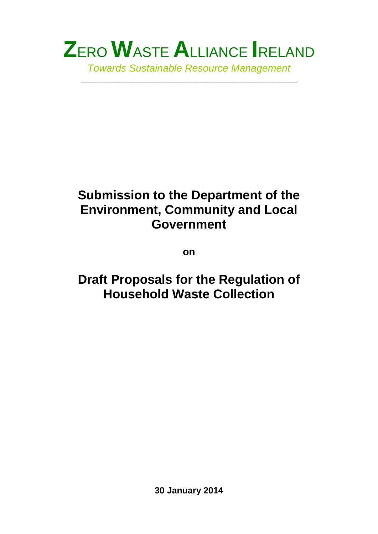

\_\_\_\_\_\_\_\_\_\_\_\_\_\_\_\_\_\_\_\_\_\_\_\_\_\_\_\_\_\_\_\_\_\_\_\_\_\_\_\_\_\_\_\_\_\_\_\_\_\_\_

# **Submission to the Department of the Environment, Community and Local Government**

**on**

# **Draft Proposals for the Regulation of Household Waste Collection**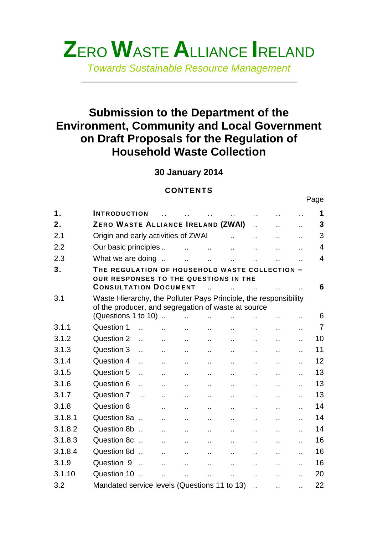

*Towards Sustainable Resource Management*

\_\_\_\_\_\_\_\_\_\_\_\_\_\_\_\_\_\_\_\_\_\_\_\_\_\_\_\_\_\_\_\_\_\_\_\_\_\_\_\_\_\_\_\_\_\_\_\_\_\_\_

# **Submission to the Department of the Environment, Community and Local Government on Draft Proposals for the Regulation of Household Waste Collection**

**30 January 2014**

### **CONTENTS**

|         |                                                                                                                                                |                      |                      | U U I L I I J        |                      |                      |                      |                      |                      |                |
|---------|------------------------------------------------------------------------------------------------------------------------------------------------|----------------------|----------------------|----------------------|----------------------|----------------------|----------------------|----------------------|----------------------|----------------|
|         |                                                                                                                                                |                      |                      |                      |                      |                      |                      |                      |                      | Page           |
| 1.      | <b>INTRODUCTION</b>                                                                                                                            |                      |                      |                      |                      |                      | $\ddot{\phantom{a}}$ |                      |                      | 1              |
| 2.      | ZERO WASTE ALLIANCE IRELAND (ZWAI)                                                                                                             |                      |                      |                      |                      |                      | $\ddot{\phantom{a}}$ |                      | Ω.                   | 3              |
| 2.1     | Origin and early activities of ZWAI                                                                                                            |                      |                      |                      |                      | $\ddot{\phantom{a}}$ | ä.                   |                      | Ω.                   | 3              |
| 2.2     | Our basic principles                                                                                                                           |                      |                      | $\ddot{\phantom{a}}$ | $\ddot{\phantom{a}}$ | $\ddotsc$            | $\ddotsc$            |                      | Ω.                   | $\overline{4}$ |
| 2.3     | What we are doing                                                                                                                              |                      |                      | ä.                   | $\ddot{\phantom{a}}$ | $\ddot{\phantom{a}}$ |                      |                      |                      | 4              |
| 3.      | THE REGULATION OF HOUSEHOLD WASTE COLLECTION -<br>OUR RESPONSES TO THE QUESTIONS IN THE<br><b>CONSULTATION DOCUMENT</b>                        |                      |                      |                      |                      |                      |                      |                      |                      | 6              |
| 3.1     | Waste Hierarchy, the Polluter Pays Principle, the responsibility<br>of the producer, and segregation of waste at source<br>(Questions 1 to 10) |                      |                      | $\ddot{\phantom{a}}$ | $\ddot{\phantom{a}}$ | $\ddot{\phantom{a}}$ |                      |                      |                      | 6              |
| 3.1.1   | Question 1                                                                                                                                     | $\ddot{\phantom{a}}$ |                      | ä.                   | $\mathbf{r}$ .       | $\ddot{\phantom{1}}$ | $\ddotsc$            | ٠.                   | Ω.                   | $\overline{7}$ |
| 3.1.2   | Question 2                                                                                                                                     |                      |                      | ò.                   | Ω.                   | Ω.                   |                      |                      |                      | 10             |
| 3.1.3   | Question 3                                                                                                                                     |                      | $\epsilon$ .         | н.                   | Ω.                   | $\ddot{\phantom{1}}$ | $\ddot{\phantom{a}}$ | ä.                   | $\ddot{\phantom{a}}$ | 11             |
| 3.1.4   | Question 4                                                                                                                                     |                      | $\ddot{\phantom{a}}$ | $\ddot{\phantom{a}}$ | $\ddotsc$            | $\ddotsc$            | $\mathbf{r}$ .       | $\ddot{\phantom{a}}$ | $\ddot{\phantom{a}}$ | 12             |
| 3.1.5   | Question 5                                                                                                                                     |                      | Ω.                   | ò.                   | Ω.                   | $\ddot{\phantom{a}}$ | $\ddot{\phantom{a}}$ |                      |                      | 13             |
| 3.1.6   | Question 6                                                                                                                                     |                      | н.                   | н.                   | н.                   | $\ddot{\phantom{a}}$ | $\ddot{\phantom{a}}$ | Ω.                   | Ω.                   | 13             |
| 3.1.7   | Question 7                                                                                                                                     | $\ddot{\phantom{a}}$ |                      | Ω.                   | Ω.                   | Ω.                   | Ω.                   |                      | Ω.                   | 13             |
| 3.1.8   | Question 8                                                                                                                                     |                      | χ.                   | ä.                   | $\ddot{\phantom{a}}$ | ä.                   | ä.                   | ä.                   |                      | 14             |
| 3.1.8.1 | Question 8a                                                                                                                                    |                      | έċ.                  | н.                   | $\mathbf{r}$ .       | Ω.                   | ä.                   |                      | Ω.                   | 14             |
| 3.1.8.2 | Question 8b                                                                                                                                    |                      | $\ddot{\phantom{a}}$ | $\ddot{\phantom{a}}$ | ä.                   | $\ddot{\phantom{a}}$ | $\mathbf{r}$ .       | ä.                   |                      | 14             |
| 3.1.8.3 | Question 8c                                                                                                                                    |                      | χ.                   | Ω.                   | $\ddot{\phantom{1}}$ | $\ddot{\phantom{1}}$ | $\ddot{\phantom{a}}$ | ä.                   | Ω.                   | 16             |
| 3.1.8.4 | Question 8d                                                                                                                                    |                      | Ω.                   | ò.                   | Ω.                   | Ω.                   | Ω.                   | Ω.                   | Ω.                   | 16             |
| 3.1.9   | Question 9                                                                                                                                     | $\sim$               | ä.                   | Ω.                   | $\ddot{\phantom{a}}$ | $\ddot{\phantom{a}}$ | Ω.                   | ä.                   | $\ddot{\phantom{a}}$ | 16             |
| 3.1.10  | Question 10                                                                                                                                    |                      | $\ddot{\phantom{a}}$ | $\ddot{\phantom{a}}$ |                      | $\ddot{\phantom{a}}$ | $\ddot{\phantom{a}}$ |                      |                      | 20             |
| 3.2     | Mandated service levels (Questions 11 to 13)                                                                                                   |                      |                      |                      |                      |                      | $\ddot{\phantom{a}}$ | $\ddot{\phantom{a}}$ |                      | 22             |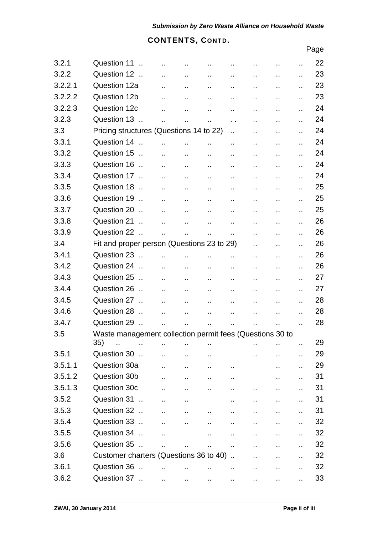# **CONTENTS, CONTD.**

|         |                                                          |                      |                      |                        |                      |                      |                      |    | Page |
|---------|----------------------------------------------------------|----------------------|----------------------|------------------------|----------------------|----------------------|----------------------|----|------|
| 3.2.1   | Question 11                                              | $\ddot{\phantom{a}}$ | Ω,                   | $\cdot$ .              | $\ddot{\phantom{0}}$ | н,                   | .,                   | ٠. | 22   |
| 3.2.2   | Question 12                                              | $\ddotsc$            | Ω.                   | $\ddot{\phantom{a}}$   | $\ddot{\phantom{a}}$ |                      |                      | Ω. | 23   |
| 3.2.2.1 | Question 12a                                             | $\ddot{\phantom{a}}$ | $\ddot{\phantom{a}}$ | $\ddot{\phantom{a}}$   | $\ddot{\phantom{a}}$ | Ω.                   |                      | Ω. | 23   |
| 3.2.2.2 | Question 12b                                             |                      | Ω.                   | $\ddot{\phantom{a}}$   | $\ddot{\phantom{a}}$ | Ω.                   | Ω.                   | Ω. | 23   |
| 3.2.2.3 | Question 12c                                             |                      |                      | $\ddot{\phantom{a}}$   | $\ddot{\phantom{a}}$ | Ω,                   | Ω.                   | Ω. | 24   |
| 3.2.3   | Question 13                                              | $\ddot{\phantom{a}}$ | $\ddot{\phantom{a}}$ | $\ddot{\phantom{a}}$   | $\ddot{\phantom{1}}$ | Ω,                   | Ω.                   | Ω. | 24   |
| 3.3     | Pricing structures (Questions 14 to 22)                  |                      |                      |                        | $\ddotsc$            | Ω,                   |                      | Ω. | 24   |
| 3.3.1   | Question 14                                              | $\ddot{\phantom{a}}$ | $\mathbf{r}$ .       | μ.                     | $\ddot{\phantom{a}}$ | Ω.                   | μ.                   | Ω. | 24   |
| 3.3.2   | Question 15                                              | $\mathbf{r}$ .       | $\ddot{\phantom{a}}$ | $\ddot{\phantom{a}}$   | $\ddot{\phantom{a}}$ | Ω.                   | Ω,                   | Ω. | 24   |
| 3.3.3   | Question 16                                              | Ω.                   | $\ddot{\phantom{a}}$ | $\ddotsc$              | $\ddot{\phantom{a}}$ | Ω,                   | Ω.                   | Ω. | 24   |
| 3.3.4   | Question 17                                              | $\ddot{\phantom{a}}$ | $\ddotsc$            | $\ddot{\phantom{1}}$   | .,                   | Ω,                   | .,                   | Ω. | 24   |
| 3.3.5   | Question 18                                              | Ω.                   | $\epsilon$ .         | $\ddotsc$              | $\ddot{\phantom{a}}$ | Ω,                   | Ω.                   | Ω. | 25   |
| 3.3.6   | Question 19                                              | $\mathbf{r}$ .       | $\ddot{\phantom{a}}$ | $\ddotsc$              | $\ddot{\phantom{a}}$ | Ω.                   | Ω.                   | Ω. | 25   |
| 3.3.7   | Question 20                                              | $\mathbf{r}$ .       | $\mathbf{r}$ .       | $\ddot{\phantom{a}}$   | Ω.                   | Ω.                   | ä.                   |    | 25   |
| 3.3.8   | Question 21<br>$\sim$                                    | $\mathbf{r}$ .       | $\ddot{\phantom{a}}$ | $\ddot{\phantom{a}}$   | $\ddot{\phantom{a}}$ | Ω.                   | Ω.                   | Ω. | 26   |
| 3.3.9   | Question 22                                              | $\ddot{\phantom{a}}$ | $\ddotsc$            | $\ddot{\phantom{a}}$   | $\ddot{\phantom{1}}$ | Ω.                   | Ω.                   | Ω. | 26   |
| 3.4     | Fit and proper person (Questions 23 to 29)               |                      |                      |                        |                      | Ω.                   | Ω.                   | Ω. | 26   |
| 3.4.1   | Question 23                                              | $\ddot{\phantom{a}}$ | $\ddot{\phantom{a}}$ | $\ddot{\phantom{a}}$   | Ω.                   | $\ddot{\phantom{a}}$ | Ω.                   | Ω. | 26   |
| 3.4.2   | Question 24                                              | $\mathbf{r}$ .       | $\ddot{\phantom{1}}$ | $\ddot{\phantom{a}}$ . | $\ddot{\phantom{a}}$ | $\ddot{\phantom{a}}$ | $\ddot{\phantom{a}}$ | Ω. | 26   |
| 3.4.3   | Question 25                                              | $\ddot{\phantom{a}}$ | $\ddot{\phantom{a}}$ | $\ddot{\phantom{a}}$   | $\ddot{\phantom{a}}$ | Ω,                   | Ω.                   | Ω. | 27   |
| 3.4.4   | Question 26                                              | $\ddotsc$            | $\ddot{\phantom{a}}$ | $\ddot{\phantom{a}}$   | $\cdot$ .            | $\ddot{\phantom{a}}$ | Ω.                   | ., | 27   |
| 3.4.5   | Question 27                                              | $\ddot{\phantom{a}}$ | $\ddotsc$            | $\ddot{\phantom{a}}$   | .,                   | ٠.                   | Ω,                   | ., | 28   |
| 3.4.6   | Question 28                                              | Ω.                   | $\ddotsc$            | $\ddotsc$              | .,                   | Ω,                   | Ω.                   | Ω, | 28   |
| 3.4.7   | Question 29                                              | Ω.                   | $\ddot{\phantom{a}}$ | $\ddotsc$              | $\ddot{\phantom{1}}$ | Ω,                   | $\ddot{\phantom{a}}$ | Ω. | 28   |
| 3.5     | Waste management collection permit fees (Questions 30 to |                      |                      |                        |                      |                      |                      |    |      |
|         | 35)                                                      | $\ddot{\phantom{a}}$ | Ω.                   | $\ddot{\phantom{a}}$   |                      |                      |                      |    | 29   |
| 3.5.1   | Question 30                                              | $\ddot{\phantom{a}}$ | $\ddot{\phantom{a}}$ | $\ddot{\phantom{a}}$   |                      | ٠.                   | $\ddot{\phantom{a}}$ | Ω. | 29   |
| 3.5.1.1 | Question 30a                                             | Ω.                   | $\ddot{\phantom{a}}$ | Ω,                     | $\ddot{\phantom{a}}$ |                      | Ω.                   |    | 29   |
| 3.5.1.2 | Question 30b                                             |                      | Ω,                   | $\ddotsc$              |                      |                      |                      | Ω. | 31   |
| 3.5.1.3 | Question 30c                                             |                      | $\ddot{\phantom{a}}$ |                        |                      |                      |                      |    | 31   |
| 3.5.2   | Question 31                                              | $\ddot{\phantom{a}}$ | $\ddot{\phantom{a}}$ |                        | .,                   |                      | Ω.                   | Ω. | 31   |
| 3.5.3   | Question 32                                              | Ω.                   | $\ddot{\phantom{a}}$ | Ω.                     |                      | .,                   | .,                   | Ω. | 31   |
| 3.5.4   | Question 33                                              | Ω.                   | $\ddot{\phantom{a}}$ | Ω.                     | .,                   | Ω.                   | Ω.                   | Ω. | 32   |
| 3.5.5   | Question 34                                              | Ω.                   |                      | Ω.                     |                      | .,                   |                      | Ω. | 32   |
| 3.5.6   | Question 35                                              |                      | Ω,                   | Ω,                     | .,                   | ٠.                   |                      | ., | 32   |
| 3.6     | Customer charters (Questions 36 to 40)                   |                      |                      |                        |                      |                      | .,                   | Ω. | 32   |
| 3.6.1   | Question 36                                              |                      |                      |                        | ٠.                   | ٠.                   | Ω.                   | Ω. | 32   |
| 3.6.2   | Question 37                                              | Ω.                   | $\ddot{\phantom{a}}$ | $\ddot{\phantom{a}}$   | $\ddotsc$            | Ω.                   | н,                   | Ω. | 33   |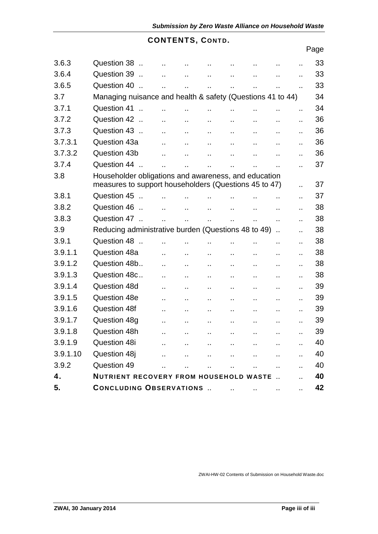# **CONTENTS, CONTD.**

|          |                                                                                                               |                      |                      |                      |                        |                      |                      |    | Page |
|----------|---------------------------------------------------------------------------------------------------------------|----------------------|----------------------|----------------------|------------------------|----------------------|----------------------|----|------|
| 3.6.3    | Question 38                                                                                                   | $\ddot{\phantom{a}}$ |                      |                      | $\ddot{\phantom{a}}$   |                      |                      | Ω. | 33   |
| 3.6.4    | Question 39                                                                                                   | Ω.                   | $\ddotsc$            | $\ddot{\phantom{a}}$ | $\ddot{\phantom{a}}$   | Ω.                   | ٠.                   | μ. | 33   |
| 3.6.5    | Question 40<br>$\ddot{\phantom{a}}$                                                                           | Ω.                   | н.                   | $\ddot{\phantom{a}}$ | μ.                     | Ω.                   | $\ddot{\phantom{a}}$ | μ, | 33   |
| 3.7      | Managing nuisance and health & safety (Questions 41 to 44)                                                    |                      |                      |                      |                        |                      |                      |    | 34   |
| 3.7.1    | Question 41                                                                                                   | μ.                   | Ω.                   |                      | Ω,                     | Ω.                   |                      | ., | 34   |
| 3.7.2    | Question 42                                                                                                   | ä.                   | $\ddot{\phantom{a}}$ | $\ddot{\phantom{a}}$ | Ω.                     | $\ddotsc$            | ä.                   |    | 36   |
| 3.7.3    | Question 43                                                                                                   | $\mathbf{r}$ .       | н.                   | $\ddot{\phantom{a}}$ | $\ddot{\phantom{1}}$   | $\ddotsc$            | ä.                   |    | 36   |
| 3.7.3.1  | Question 43a                                                                                                  | Ω.                   | н.                   | Ω.                   | Ω.                     | $\ddot{\phantom{a}}$ | Ω,                   |    | 36   |
| 3.7.3.2  | Question 43b                                                                                                  | ä.                   | $\ddot{\phantom{a}}$ | $\mathbf{r}$ .       | $\ddot{\phantom{a}}$   | $\mathbf{r}$ .       | ä.                   |    | 36   |
| 3.7.4    | Question 44                                                                                                   | $\ddot{\phantom{a}}$ | άú.                  |                      |                        | Ω.                   |                      | Ω. | 37   |
| 3.8      | Householder obligations and awareness, and education<br>measures to support householders (Questions 45 to 47) |                      |                      |                      |                        |                      |                      | Ω. | 37   |
| 3.8.1    | Question 45                                                                                                   | $\ddot{\phantom{a}}$ |                      |                      |                        |                      |                      | Ω, | 37   |
| 3.8.2    | Question 46                                                                                                   | $\mathbf{r}$ .       | н.                   | $\mathbf{r}$ .       | $\ddot{\phantom{a}}$   | $\ddotsc$            | Ω,                   | Ω, | 38   |
| 3.8.3    | Question 47                                                                                                   | $\ddot{\phantom{a}}$ | $\ddot{\phantom{a}}$ | $\ddot{\phantom{a}}$ | μ.                     | Ω,                   | $\ddot{\phantom{a}}$ | Ω, | 38   |
| 3.9      | Reducing administrative burden (Questions 48 to 49).                                                          |                      |                      |                      |                        |                      |                      | Ω, | 38   |
| 3.9.1    | Question 48                                                                                                   | $\ddot{\phantom{a}}$ |                      |                      | Ω.                     |                      | ٠.                   | Ω. | 38   |
| 3.9.1.1  | Question 48a                                                                                                  | Ω.                   | $\ddotsc$            | $\ddot{\phantom{a}}$ | $\ddot{\phantom{a}}$   | $\ddot{\phantom{a}}$ | $\ddot{\phantom{a}}$ | Ω, | 38   |
| 3.9.1.2  | Question 48b                                                                                                  | Ω.                   | $\ddot{\phantom{a}}$ | Ω.                   | $\ddot{\phantom{a}}$   | $\ddotsc$            | ä.                   | Ω. | 38   |
| 3.9.1.3  | Question 48c                                                                                                  | Ω.                   | $\ddotsc$            | $\ddot{\phantom{a}}$ | $\ddot{\phantom{a}}$   | $\ddotsc$            | $\ddot{\phantom{a}}$ |    | 38   |
| 3.9.1.4  | Question 48d                                                                                                  | Ω.                   | $\ddotsc$            | $\ddot{\phantom{a}}$ | $\ddot{\phantom{a}}$   |                      | Ω.                   |    | 39   |
| 3.9.1.5  | Question 48e                                                                                                  | $\ddot{\phantom{a}}$ | $\ddotsc$            | $\ddotsc$            | $\ddot{\phantom{a}}$ . | $\ddotsc$            | $\ddot{\phantom{a}}$ | μ. | 39   |
| 3.9.1.6  | <b>Question 48f</b>                                                                                           | .,                   | $\ddotsc$            | $\ddot{\phantom{a}}$ |                        | ٠.                   | Ω.                   | Ω. | 39   |
| 3.9.1.7  | Question 48g                                                                                                  | Ω.                   |                      | $\ddot{\phantom{0}}$ |                        |                      | ٠.                   |    | 39   |
| 3.9.1.8  | Question 48h                                                                                                  |                      |                      |                      |                        |                      |                      | ., | 39   |
| 3.9.1.9  | <b>Question 48i</b>                                                                                           |                      | ò.                   | $\ddot{\phantom{a}}$ | ò.                     |                      |                      | Ω. | 40   |
| 3.9.1.10 | Question 48j                                                                                                  | Ω.                   | н.                   | $\ddot{\phantom{a}}$ | $\ddot{\phantom{a}}$   |                      | Ω.                   | μ. | 40   |
| 3.9.2    | Question 49                                                                                                   |                      |                      | ä.                   | $\ddot{\phantom{a}}$   |                      |                      | ä. | 40   |
| 4.       | <b>NUTRIENT RECOVERY FROM HOUSEHOLD WASTE </b>                                                                |                      |                      |                      |                        |                      |                      | Ω. | 40   |
| 5.       | <b>CONCLUDING OBSERVATIONS </b>                                                                               |                      |                      |                      | $\ddot{\phantom{a}}$   |                      |                      |    | 42   |

ZWAI-HW-02 Contents of Submission on Household Waste.doc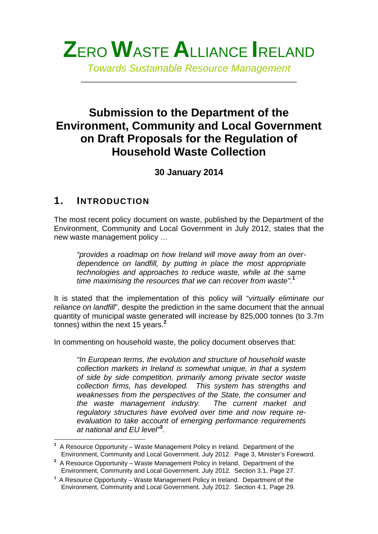

*Towards Sustainable Resource Management*

\_\_\_\_\_\_\_\_\_\_\_\_\_\_\_\_\_\_\_\_\_\_\_\_\_\_\_\_\_\_\_\_\_\_\_\_\_\_\_\_\_\_\_\_\_\_\_\_\_\_\_

# **Submission to the Department of the Environment, Community and Local Government on Draft Proposals for the Regulation of Household Waste Collection**

**30 January 2014**

# **1. INTRODUCTION**

The most recent policy document on waste, published by the Department of the Environment, Community and Local Government in July 2012, states that the new waste management policy …

*"provides a roadmap on how Ireland will move away from an over dependence on landfill, by putting in place the most appropriate technologies and approaches to reduce waste, while at the same time maximising the resources that we can recover from waste".***<sup>1</sup>**

It is stated that the implementation of this policy will "*virtually eliminate our reliance on landfill*", despite the prediction in the same document that the annual quantity of municipal waste generated will increase by 825,000 tonnes (to 3.7m tonnes) within the next 15 years.**<sup>2</sup>**

In commenting on household waste, the policy document observes that:

*"In European terms, the evolution and structure of household waste collection markets in Ireland is somewhat unique, in that a system of side by side competition, primarily among private sector waste collection firms, has developed. This system has strengths and weaknesses from the perspectives of the State, the consumer and the waste management industry. The current market and regulatory structures have evolved over time and now require re evaluation to take account of emerging performance requirements at national and EU level"***<sup>3</sup>** *.*

**<sup>1</sup>** A Resource Opportunity – Waste Management Policy in Ireland. Department of the Environment, Community and Local Government. July 2012. Page 3, Minister's Foreword.

**<sup>2</sup>** A Resource Opportunity – Waste Management Policy in Ireland. Department of the Environment, Community and Local Government. July 2012. Section 3.1, Page 27.

**<sup>3</sup>** A Resource Opportunity – Waste Management Policy in Ireland. Department of the Environment, Community and Local Government. July 2012. Section 4.1, Page 29.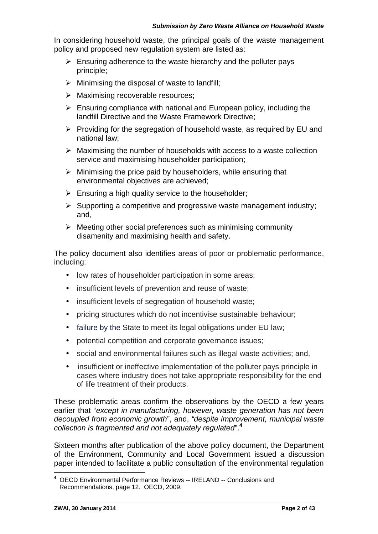In considering household waste, the principal goals of the waste management policy and proposed new regulation system are listed as:

- $\triangleright$  Ensuring adherence to the waste hierarchy and the polluter pays principle;
- $\triangleright$  Minimising the disposal of waste to landfill;
- $\triangleright$  Maximising recoverable resources:
- $\triangleright$  Ensuring compliance with national and European policy, including the landfill Directive and the Waste Framework Directive;
- $\triangleright$  Providing for the segregation of household waste, as required by EU and national law;
- $\triangleright$  Maximising the number of households with access to a waste collection service and maximising householder participation;
- $\triangleright$  Minimising the price paid by householders, while ensuring that environmental objectives are achieved;
- $\triangleright$  Ensuring a high quality service to the householder;
- $\triangleright$  Supporting a competitive and progressive waste management industry: and,
- $\triangleright$  Meeting other social preferences such as minimising community disamenity and maximising health and safety.

The policy document also identifies areas of poor or problematic performance, including:

- low rates of householder participation in some areas:
- insufficient levels of prevention and reuse of waste;
- insufficient levels of segregation of household waste;
- pricing structures which do not incentivise sustainable behaviour;
- failure by the State to meet its legal obligations under EU law;
- potential competition and corporate governance issues;
- social and environmental failures such as illegal waste activities; and,
- insufficient or ineffective implementation of the polluter pays principle in cases where industry does not take appropriate responsibility for the end of life treatment of their products.

These problematic areas confirm the observations by the OECD a few years earlier that "*except in manufacturing, however, waste generation has not been decoupled from economic growth*", and, *"despite improvement, municipal waste collection is fragmented and not adequately regulated*".**<sup>4</sup>**

Sixteen months after publication of the above policy document, the Department of the Environment, Community and Local Government issued a discussion paper intended to facilitate a public consultation of the environmental regulation

**<sup>4</sup>** OECD Environmental Performance Reviews -- IRELAND -- Conclusions and Recommendations, page 12. OECD, 2009.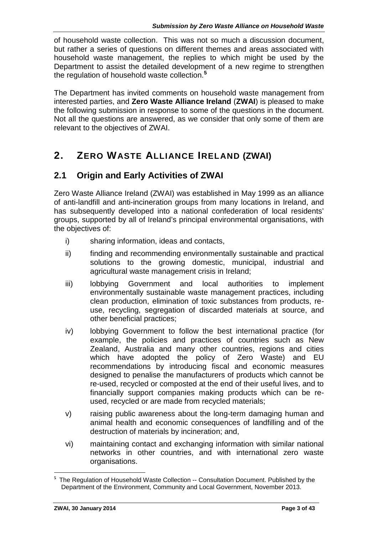of household waste collection. This was not so much a discussion document, but rather a series of questions on different themes and areas associated with household waste management, the replies to which might be used by the Department to assist the detailed development of a new regime to strengthen the regulation of household waste collection.**<sup>5</sup>**

The Department has invited comments on household waste management from interested parties, and **Zero Waste Alliance Ireland** (**ZWAI**) is pleased to make the following submission in response to some of the questions in the document. Not all the questions are answered, as we consider that only some of them are relevant to the objectives of ZWAI.

# **2. ZERO WASTE ALLIANCE IRELAND (ZWAI)**

# **2.1 Origin and Early Activities of ZWAI**

Zero Waste Alliance Ireland (ZWAI) was established in May 1999 as an alliance of anti-landfill and anti-incineration groups from many locations in Ireland, and has subsequently developed into a national confederation of local residents' groups, supported by all of Ireland's principal environmental organisations, with the objectives of:

- i) sharing information, ideas and contacts,
- ii) finding and recommending environmentally sustainable and practical solutions to the growing domestic, municipal, industrial and agricultural waste management crisis in Ireland;
- iii) lobbying Government and local authorities to implement environmentally sustainable waste management practices, including clean production, elimination of toxic substances from products, re use, recycling, segregation of discarded materials at source, and other beneficial practices;
- iv) lobbying Government to follow the best international practice (for example, the policies and practices of countries such as New Zealand, Australia and many other countries, regions and cities which have adopted the policy of Zero Waste) and EU recommendations by introducing fiscal and economic measures designed to penalise the manufacturers of products which cannot be re-used, recycled or composted at the end of their useful lives, and to financially support companies making products which can be re used, recycled or are made from recycled materials;
- v) raising public awareness about the long-term damaging human and animal health and economic consequences of landfilling and of the destruction of materials by incineration; and,
- vi) maintaining contact and exchanging information with similar national networks in other countries, and with international zero waste organisations.

**<sup>5</sup>** The Regulation of Household Waste Collection -- Consultation Document. Published by the Department of the Environment, Community and Local Government, November 2013.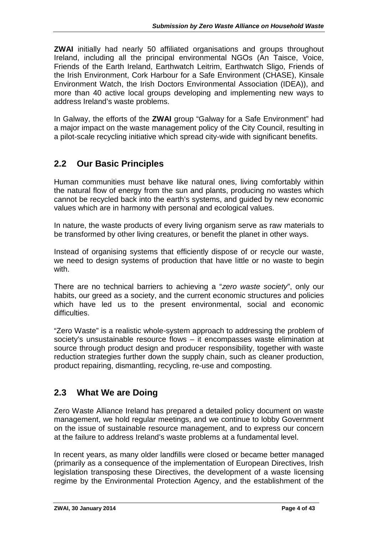**ZWAI** initially had nearly 50 affiliated organisations and groups throughout Ireland, including all the principal environmental NGOs (An Taisce, Voice, Friends of the Earth Ireland, Earthwatch Leitrim, Earthwatch Sligo, Friends of the Irish Environment, Cork Harbour for a Safe Environment (CHASE), Kinsale Environment Watch, the Irish Doctors Environmental Association (IDEA)), and more than 40 active local groups developing and implementing new ways to address Ireland's waste problems.

In Galway, the efforts of the **ZWAI** group "Galway for a Safe Environment" had a major impact on the waste management policy of the City Council, resulting in a pilot-scale recycling initiative which spread city-wide with significant benefits.

# **2.2 Our Basic Principles**

Human communities must behave like natural ones, living comfortably within the natural flow of energy from the sun and plants, producing no wastes which cannot be recycled back into the earth's systems, and guided by new economic values which are in harmony with personal and ecological values.

In nature, the waste products of every living organism serve as raw materials to be transformed by other living creatures, or benefit the planet in other ways.

Instead of organising systems that efficiently dispose of or recycle our waste, we need to design systems of production that have little or no waste to begin with.

There are no technical barriers to achieving a "*zero waste society*", only our habits, our greed as a society, and the current economic structures and policies which have led us to the present environmental, social and economic difficulties.

"Zero Waste" is a realistic whole-system approach to addressing the problem of society's unsustainable resource flows – it encompasses waste elimination at source through product design and producer responsibility, together with waste reduction strategies further down the supply chain, such as cleaner production, product repairing, dismantling, recycling, re-use and composting.

# **2.3 What We are Doing**

Zero Waste Alliance Ireland has prepared a detailed policy document on waste management, we hold regular meetings, and we continue to lobby Government on the issue of sustainable resource management, and to express our concern at the failure to address Ireland's waste problems at a fundamental level.

In recent years, as many older landfills were closed or became better managed (primarily as a consequence of the implementation of European Directives, Irish legislation transposing these Directives, the development of a waste licensing regime by the Environmental Protection Agency, and the establishment of the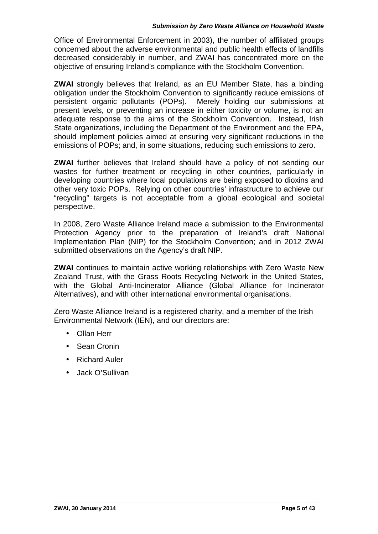Office of Environmental Enforcement in 2003), the number of affiliated groups concerned about the adverse environmental and public health effects of landfills decreased considerably in number, and ZWAI has concentrated more on the objective of ensuring Ireland's compliance with the Stockholm Convention.

**ZWAI** strongly believes that Ireland, as an EU Member State, has a binding obligation under the Stockholm Convention to significantly reduce emissions of persistent organic pollutants (POPs). Merely holding our submissions at present levels, or preventing an increase in either toxicity or volume, is not an adequate response to the aims of the Stockholm Convention. Instead, Irish State organizations, including the Department of the Environment and the EPA, should implement policies aimed at ensuring very significant reductions in the emissions of POPs; and, in some situations, reducing such emissions to zero.

**ZWAI** further believes that Ireland should have a policy of not sending our wastes for further treatment or recycling in other countries, particularly in developing countries where local populations are being exposed to dioxins and other very toxic POPs. Relying on other countries' infrastructure to achieve our "recycling" targets is not acceptable from a global ecological and societal perspective.

In 2008, Zero Waste Alliance Ireland made a submission to the Environmental Protection Agency prior to the preparation of Ireland's draft National Implementation Plan (NIP) for the Stockholm Convention; and in 2012 ZWAI submitted observations on the Agency's draft NIP.

**ZWAI** continues to maintain active working relationships with Zero Waste New Zealand Trust, with the Grass Roots Recycling Network in the United States, with the Global Anti-Incinerator Alliance (Global Alliance for Incinerator Alternatives), and with other international environmental organisations.

Zero Waste Alliance Ireland is a registered charity, and a member of the Irish Environmental Network (IEN), and our directors are:

- Ollan Herr
- Sean Cronin
- Richard Auler
- Jack O'Sullivan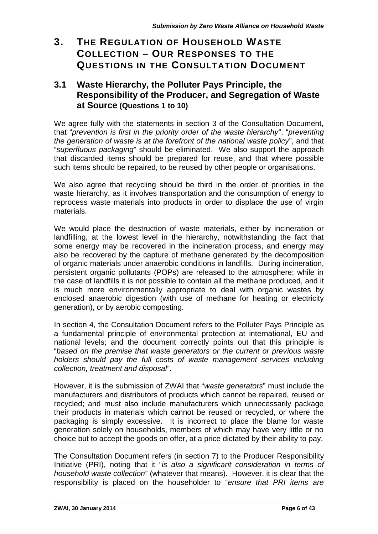# **3. THE REGULATION OF HOUSEHOLD WASTE COLLECTION – OUR RESPONSES TO THE QUESTIONS IN THE CONSULTATION DOCUMENT**

## **3.1 Waste Hierarchy, the Polluter Pays Principle, the Responsibility of the Producer, and Segregation of Waste at Source (Questions 1 to 10)**

We agree fully with the statements in section 3 of the Consultation Document, that "*prevention is first in the priority order of the waste hierarchy*", "*preventing the generation of waste is at the forefront of the national waste policy*", and that "*superfluous packaging*" should be eliminated. We also support the approach that discarded items should be prepared for reuse, and that where possible such items should be repaired, to be reused by other people or organisations.

We also agree that recycling should be third in the order of priorities in the waste hierarchy, as it involves transportation and the consumption of energy to reprocess waste materials into products in order to displace the use of virgin materials.

We would place the destruction of waste materials, either by incineration or landfilling, at the lowest level in the hierarchy, notwithstanding the fact that some energy may be recovered in the incineration process, and energy may also be recovered by the capture of methane generated by the decomposition of organic materials under anaerobic conditions in landfills. During incineration, persistent organic pollutants (POPs) are released to the atmosphere; while in the case of landfills it is not possible to contain all the methane produced, and it is much more environmentally appropriate to deal with organic wastes by enclosed anaerobic digestion (with use of methane for heating or electricity generation), or by aerobic composting.

In section 4, the Consultation Document refers to the Polluter Pays Principle as a fundamental principle of environmental protection at international, EU and national levels; and the document correctly points out that this principle is "*based on the premise that waste generators or the current or previous waste holders should pay the full costs of waste management services including collection, treatment and disposal*".

However, it is the submission of ZWAI that "*waste generators*" must include the manufacturers and distributors of products which cannot be repaired, reused or recycled; and must also include manufacturers which unnecessarily package their products in materials which cannot be reused or recycled, or where the packaging is simply excessive. It is incorrect to place the blame for waste generation solely on households, members of which may have very little or no choice but to accept the goods on offer, at a price dictated by their ability to pay.

The Consultation Document refers (in section 7) to the Producer Responsibility Initiative (PRI), noting that it "*is also a significant consideration in terms of household waste collection*" (whatever that means). However, it is clear that the responsibility is placed on the householder to "*ensure that PRI items are*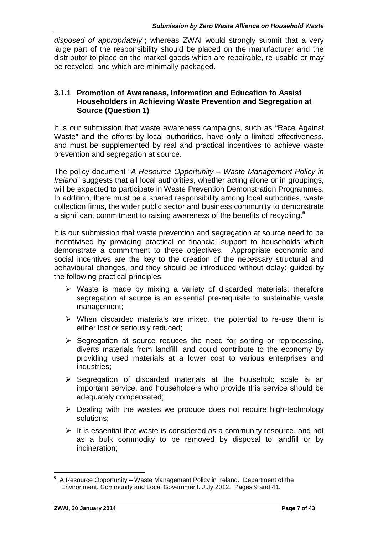*disposed of appropriately*"; whereas ZWAI would strongly submit that a very large part of the responsibility should be placed on the manufacturer and the distributor to place on the market goods which are repairable, re-usable or may be recycled, and which are minimally packaged.

#### **3.1.1 Promotion of Awareness, Information and Education to Assist Householders in Achieving Waste Prevention and Segregation at Source (Question 1)**

It is our submission that waste awareness campaigns, such as "Race Against Waste" and the efforts by local authorities, have only a limited effectiveness, and must be supplemented by real and practical incentives to achieve waste prevention and segregation at source.

The policy document "*A Resource Opportunity – Waste Management Policy in Ireland*" suggests that all local authorities, whether acting alone or in groupings, will be expected to participate in Waste Prevention Demonstration Programmes. In addition, there must be a shared responsibility among local authorities, waste collection firms, the wider public sector and business community to demonstrate a significant commitment to raising awareness of the benefits of recycling.**<sup>6</sup>**

It is our submission that waste prevention and segregation at source need to be incentivised by providing practical or financial support to households which demonstrate a commitment to these objectives. Appropriate economic and social incentives are the key to the creation of the necessary structural and behavioural changes, and they should be introduced without delay; guided by the following practical principles:

- $\triangleright$  Waste is made by mixing a variety of discarded materials; therefore segregation at source is an essential pre-requisite to sustainable waste management;
- $\triangleright$  When discarded materials are mixed, the potential to re-use them is either lost or seriously reduced;
- $\triangleright$  Segregation at source reduces the need for sorting or reprocessing, diverts materials from landfill, and could contribute to the economy by providing used materials at a lower cost to various enterprises and industries;
- $\triangleright$  Segregation of discarded materials at the household scale is an important service, and householders who provide this service should be adequately compensated;
- $\triangleright$  Dealing with the wastes we produce does not require high-technology solutions;
- $\triangleright$  It is essential that waste is considered as a community resource, and not as a bulk commodity to be removed by disposal to landfill or by incineration;

**<sup>6</sup>** A Resource Opportunity – Waste Management Policy in Ireland. Department of the Environment, Community and Local Government. July 2012. Pages 9 and 41.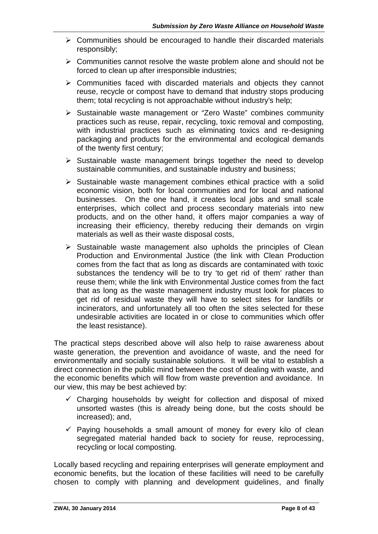- $\triangleright$  Communities should be encouraged to handle their discarded materials responsibly;
- $\triangleright$  Communities cannot resolve the waste problem alone and should not be forced to clean up after irresponsible industries;
- $\triangleright$  Communities faced with discarded materials and objects they cannot reuse, recycle or compost have to demand that industry stops producing them; total recycling is not approachable without industry's help;
- Sustainable waste management or "Zero Waste" combines community practices such as reuse, repair, recycling, toxic removal and composting, with industrial practices such as eliminating toxics and re-designing packaging and products for the environmental and ecological demands of the twenty first century;
- $\triangleright$  Sustainable waste management brings together the need to develop sustainable communities, and sustainable industry and business;
- $\triangleright$  Sustainable waste management combines ethical practice with a solid economic vision, both for local communities and for local and national businesses. On the one hand, it creates local jobs and small scale enterprises, which collect and process secondary materials into new products, and on the other hand, it offers major companies a way of increasing their efficiency, thereby reducing their demands on virgin materials as well as their waste disposal costs,
- $\triangleright$  Sustainable waste management also upholds the principles of Clean Production and Environmental Justice (the link with Clean Production comes from the fact that as long as discards are contaminated with toxic substances the tendency will be to try 'to get rid of them' rather than reuse them; while the link with Environmental Justice comes from the fact that as long as the waste management industry must look for places to get rid of residual waste they will have to select sites for landfills or incinerators, and unfortunately all too often the sites selected for these undesirable activities are located in or close to communities which offer the least resistance).

The practical steps described above will also help to raise awareness about waste generation, the prevention and avoidance of waste, and the need for environmentally and socially sustainable solutions. It will be vital to establish a direct connection in the public mind between the cost of dealing with waste, and the economic benefits which will flow from waste prevention and avoidance. In our view, this may be best achieved by:

- $\checkmark$  Charging households by weight for collection and disposal of mixed unsorted wastes (this is already being done, but the costs should be increased); and,
- $\checkmark$  Paying households a small amount of money for every kilo of clean segregated material handed back to society for reuse, reprocessing, recycling or local composting.

Locally based recycling and repairing enterprises will generate employment and economic benefits, but the location of these facilities will need to be carefully chosen to comply with planning and development guidelines, and finally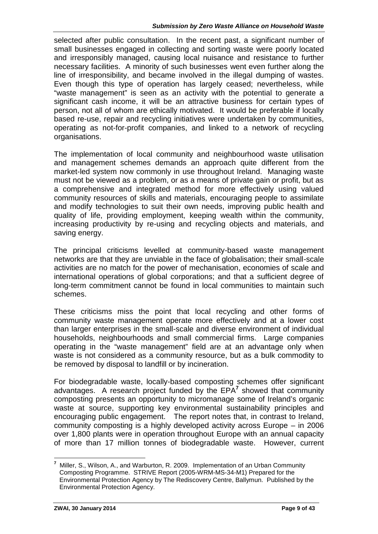selected after public consultation. In the recent past, a significant number of small businesses engaged in collecting and sorting waste were poorly located and irresponsibly managed, causing local nuisance and resistance to further necessary facilities. A minority of such businesses went even further along the line of irresponsibility, and became involved in the illegal dumping of wastes. Even though this type of operation has largely ceased; nevertheless, while "waste management" is seen as an activity with the potential to generate a significant cash income, it will be an attractive business for certain types of person, not all of whom are ethically motivated. It would be preferable if locally based re-use, repair and recycling initiatives were undertaken by communities, operating as not-for-profit companies, and linked to a network of recycling organisations.

The implementation of local community and neighbourhood waste utilisation and management schemes demands an approach quite different from the market-led system now commonly in use throughout Ireland. Managing waste must not be viewed as a problem, or as a means of private gain or profit, but as a comprehensive and integrated method for more effectively using valued community resources of skills and materials, encouraging people to assimilate and modify technologies to suit their own needs, improving public health and quality of life, providing employment, keeping wealth within the community, increasing productivity by re-using and recycling objects and materials, and saving energy.

The principal criticisms levelled at community-based waste management networks are that they are unviable in the face of globalisation; their small-scale activities are no match for the power of mechanisation, economies of scale and international operations of global corporations; and that a sufficient degree of long-term commitment cannot be found in local communities to maintain such schemes.

These criticisms miss the point that local recycling and other forms of community waste management operate more effectively and at a lower cost than larger enterprises in the small-scale and diverse environment of individual households, neighbourhoods and small commercial firms. Large companies operating in the "waste management" field are at an advantage only when waste is not considered as a community resource, but as a bulk commodity to be removed by disposal to landfill or by incineration.

For biodegradable waste, locally-based composting schemes offer significant advantages. A research project funded by the EPA<sup>7</sup> showed that community composting presents an opportunity to micromanage some of Ireland's organic waste at source, supporting key environmental sustainability principles and encouraging public engagement. The report notes that, in contrast to Ireland, community composting is a highly developed activity across Europe – in 2006 over 1,800 plants were in operation throughout Europe with an annual capacity of more than 17 million tonnes of biodegradable waste. However, current

**<sup>7</sup>** Miller, S., Wilson, A., and Warburton, R. 2009. Implementation of an Urban Community Composting Programme. STRIVE Report (2005-WRM-MS-34-M1) Prepared for the Environmental Protection Agency by The Rediscovery Centre, Ballymun. Published by the Environmental Protection Agency.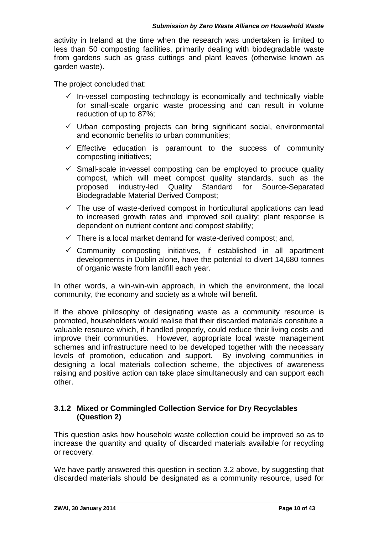activity in Ireland at the time when the research was undertaken is limited to less than 50 composting facilities, primarily dealing with biodegradable waste from gardens such as grass cuttings and plant leaves (otherwise known as garden waste).

The project concluded that:

- $\checkmark$  In-vessel composting technology is economically and technically viable for small-scale organic waste processing and can result in volume reduction of up to 87%;
- $\checkmark$  Urban composting projects can bring significant social, environmental and economic benefits to urban communities;
- $\checkmark$  Effective education is paramount to the success of community composting initiatives;
- $\checkmark$  Small-scale in-vessel composting can be employed to produce quality compost, which will meet compost quality standards, such as the proposed industry-led Quality Standard for Source-Separated Biodegradable Material Derived Compost;
- $\checkmark$  The use of waste-derived compost in horticultural applications can lead to increased growth rates and improved soil quality; plant response is dependent on nutrient content and compost stability;
- $\checkmark$  There is a local market demand for waste-derived compost: and,
- $\checkmark$  Community composting initiatives, if established in all apartment developments in Dublin alone, have the potential to divert 14,680 tonnes of organic waste from landfill each year.

In other words, a win-win-win approach, in which the environment, the local community, the economy and society as a whole will benefit.

If the above philosophy of designating waste as a community resource is promoted, householders would realise that their discarded materials constitute a valuable resource which, if handled properly, could reduce their living costs and improve their communities. However, appropriate local waste management schemes and infrastructure need to be developed together with the necessary levels of promotion, education and support. By involving communities in designing a local materials collection scheme, the objectives of awareness raising and positive action can take place simultaneously and can support each other.

#### **3.1.2 Mixed or Commingled Collection Service for Dry Recyclables (Question 2)**

This question asks how household waste collection could be improved so as to increase the quantity and quality of discarded materials available for recycling or recovery.

We have partly answered this question in section 3.2 above, by suggesting that discarded materials should be designated as a community resource, used for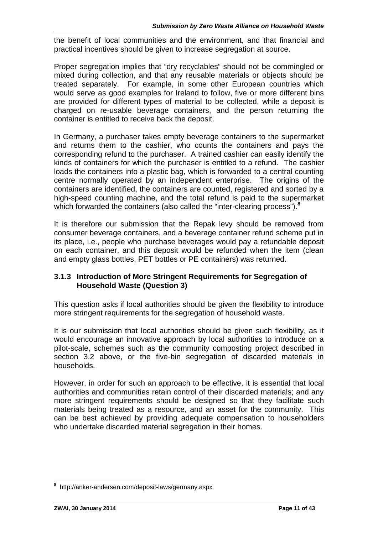the benefit of local communities and the environment, and that financial and practical incentives should be given to increase segregation at source.

Proper segregation implies that "dry recyclables" should not be commingled or mixed during collection, and that any reusable materials or objects should be treated separately. For example, in some other European countries which would serve as good examples for Ireland to follow, five or more different bins are provided for different types of material to be collected, while a deposit is charged on re-usable beverage containers, and the person returning the container is entitled to receive back the deposit.

In Germany, a purchaser takes empty beverage containers to the supermarket and returns them to the cashier, who counts the containers and pays the corresponding refund to the purchaser. A trained cashier can easily identify the kinds of containers for which the purchaser is entitled to a refund. The cashier loads the containers into a plastic bag, which is forwarded to a central counting centre normally operated by an independent enterprise. The origins of the containers are identified, the containers are counted, registered and sorted by a high-speed counting machine, and the total refund is paid to the supermarket which forwarded the containers (also called the "inter-clearing process").**<sup>8</sup>**

It is therefore our submission that the Repak levy should be removed from consumer beverage containers, and a beverage container refund scheme put in its place, i.e., people who purchase beverages would pay a refundable deposit on each container, and this deposit would be refunded when the item (clean and empty glass bottles, PET bottles or PE containers) was returned.

#### **3.1.3 Introduction of More Stringent Requirements for Segregation of Household Waste (Question 3)**

This question asks if local authorities should be given the flexibility to introduce more stringent requirements for the segregation of household waste.

It is our submission that local authorities should be given such flexibility, as it would encourage an innovative approach by local authorities to introduce on a pilot-scale, schemes such as the community composting project described in section 3.2 above, or the five-bin segregation of discarded materials in households.

However, in order for such an approach to be effective, it is essential that local authorities and communities retain control of their discarded materials; and any more stringent requirements should be designed so that they facilitate such materials being treated as a resource, and an asset for the community. This can be best achieved by providing adequate compensation to householders who undertake discarded material segregation in their homes.

**<sup>8</sup>** http://anker-andersen.com/deposit-laws/germany.aspx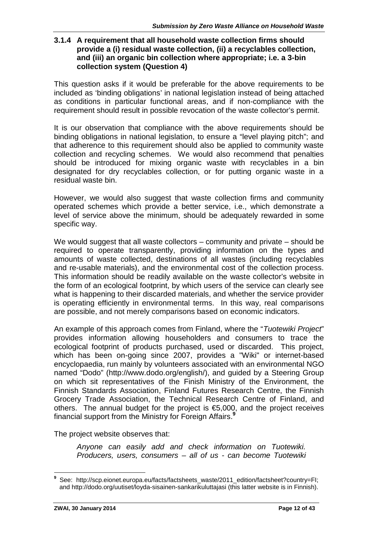#### **3.1.4 A requirement that all household waste collection firms should provide a (i) residual waste collection, (ii) a recyclables collection, and (iii) an organic bin collection where appropriate; i.e. a 3-bin collection system (Question 4)**

This question asks if it would be preferable for the above requirements to be included as 'binding obligations' in national legislation instead of being attached as conditions in particular functional areas, and if non-compliance with the requirement should result in possible revocation of the waste collector's permit.

It is our observation that compliance with the above requirements should be binding obligations in national legislation, to ensure a "level playing pitch"; and that adherence to this requirement should also be applied to community waste collection and recycling schemes. We would also recommend that penalties should be introduced for mixing organic waste with recyclables in a bin designated for dry recyclables collection, or for putting organic waste in a residual waste bin.

However, we would also suggest that waste collection firms and community operated schemes which provide a better service, i.e., which demonstrate a level of service above the minimum, should be adequately rewarded in some specific way.

We would suggest that all waste collectors – community and private – should be required to operate transparently, providing information on the types and amounts of waste collected, destinations of all wastes (including recyclables and re-usable materials), and the environmental cost of the collection process. This information should be readily available on the waste collector's website in the form of an ecological footprint, by which users of the service can clearly see what is happening to their discarded materials, and whether the service provider is operating efficiently in environmental terms. In this way, real comparisons are possible, and not merely comparisons based on economic indicators.

An example of this approach comes from Finland, where the "*Tuotewiki Project*" provides information allowing householders and consumers to trace the ecological footprint of products purchased, used or discarded. This project, which has been on-going since 2007, provides a "Wiki" or internet-based encyclopaedia, run mainly by volunteers associated with an environmental NGO named "Dodo" (http://www.dodo.org/english/), and guided by a Steering Group on which sit representatives of the Finish Ministry of the Environment, the Finnish Standards Association, Finland Futures Research Centre, the Finnish Grocery Trade Association, the Technical Research Centre of Finland, and others. The annual budget for the project is €5,000, and the project receives financial support from the Ministry for Foreign Affairs.**<sup>9</sup>**

The project website observes that:

*Anyone can easily add and check information on Tuotewiki. Producers, users, consumers – all of us - can become Tuotewiki*

**<sup>9</sup>** See: http://scp.eionet.europa.eu/facts/factsheets\_waste/2011\_edition/factsheet?country=FI; and http://dodo.org/uutiset/loyda-sisainen-sankarikuluttajasi (this latter website is in Finnish).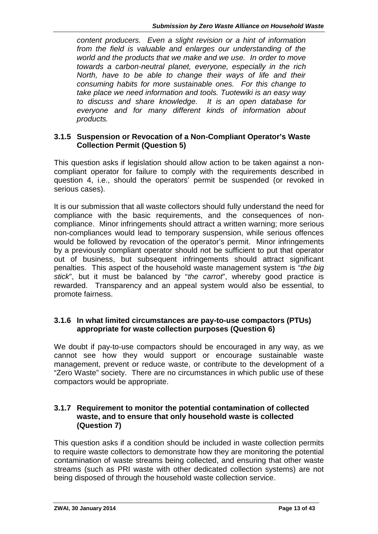*content producers. Even a slight revision or a hint of information from the field is valuable and enlarges our understanding of the world and the products that we make and we use. In order to move towards a carbon-neutral planet, everyone, especially in the rich North, have to be able to change their ways of life and their consuming habits for more sustainable ones. For this change to take place we need information and tools. Tuotewiki is an easy way to discuss and share knowledge. It is an open database for everyone and for many different kinds of information about products.*

#### **3.1.5 Suspension or Revocation of a Non-Compliant Operator's Waste Collection Permit (Question 5)**

This question asks if legislation should allow action to be taken against a non compliant operator for failure to comply with the requirements described in question 4, i.e., should the operators' permit be suspended (or revoked in serious cases).

It is our submission that all waste collectors should fully understand the need for compliance with the basic requirements, and the consequences of non compliance. Minor infringements should attract a written warning; more serious non-compliances would lead to temporary suspension, while serious offences would be followed by revocation of the operator's permit. Minor infringements by a previously compliant operator should not be sufficient to put that operator out of business, but subsequent infringements should attract significant penalties. This aspect of the household waste management system is "*the big stick*", but it must be balanced by "*the carrot*", whereby good practice is rewarded. Transparency and an appeal system would also be essential, to promote fairness.

#### **3.1.6 In what limited circumstances are pay-to-use compactors (PTUs) appropriate for waste collection purposes (Question 6)**

We doubt if pay-to-use compactors should be encouraged in any way, as we cannot see how they would support or encourage sustainable waste management, prevent or reduce waste, or contribute to the development of a "Zero Waste" society. There are no circumstances in which public use of these compactors would be appropriate.

#### **3.1.7 Requirement to monitor the potential contamination of collected waste, and to ensure that only household waste is collected (Question 7)**

This question asks if a condition should be included in waste collection permits to require waste collectors to demonstrate how they are monitoring the potential contamination of waste streams being collected, and ensuring that other waste streams (such as PRI waste with other dedicated collection systems) are not being disposed of through the household waste collection service.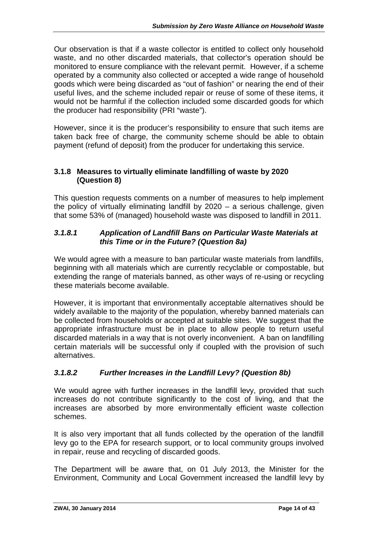Our observation is that if a waste collector is entitled to collect only household waste, and no other discarded materials, that collector's operation should be monitored to ensure compliance with the relevant permit. However, if a scheme operated by a community also collected or accepted a wide range of household goods which were being discarded as "out of fashion" or nearing the end of their useful lives, and the scheme included repair or reuse of some of these items, it would not be harmful if the collection included some discarded goods for which the producer had responsibility (PRI "waste").

However, since it is the producer's responsibility to ensure that such items are taken back free of charge, the community scheme should be able to obtain payment (refund of deposit) from the producer for undertaking this service.

#### **3.1.8 Measures to virtually eliminate landfilling of waste by 2020 (Question 8)**

This question requests comments on a number of measures to help implement the policy of virtually eliminating landfill by 2020 – a serious challenge, given that some 53% of (managed) household waste was disposed to landfill in 2011.

#### *3.1.8.1 Application of Landfill Bans on Particular Waste Materials at this Time or in the Future? (Question 8a)*

We would agree with a measure to ban particular waste materials from landfills, beginning with all materials which are currently recyclable or compostable, but extending the range of materials banned, as other ways of re-using or recycling these materials become available.

However, it is important that environmentally acceptable alternatives should be widely available to the majority of the population, whereby banned materials can be collected from households or accepted at suitable sites. We suggest that the appropriate infrastructure must be in place to allow people to return useful discarded materials in a way that is not overly inconvenient. A ban on landfilling certain materials will be successful only if coupled with the provision of such alternatives.

### *3.1.8.2 Further Increases in the Landfill Levy? (Question 8b)*

We would agree with further increases in the landfill levy, provided that such increases do not contribute significantly to the cost of living, and that the increases are absorbed by more environmentally efficient waste collection schemes.

It is also very important that all funds collected by the operation of the landfill levy go to the EPA for research support, or to local community groups involved in repair, reuse and recycling of discarded goods.

The Department will be aware that, on 01 July 2013, the Minister for the Environment, Community and Local Government increased the landfill levy by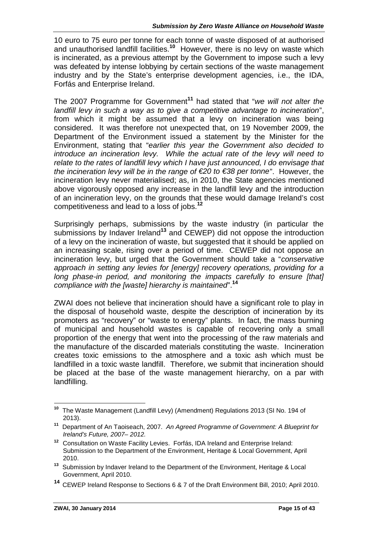10 euro to 75 euro per tonne for each tonne of waste disposed of at authorised and unauthorised landfill facilities.**<sup>10</sup>** However, there is no levy on waste which is incinerated, as a previous attempt by the Government to impose such a levy was defeated by intense lobbying by certain sections of the waste management industry and by the State's enterprise development agencies, i.e., the IDA, Forfás and Enterprise Ireland.

The 2007 Programme for Government**<sup>11</sup>** had stated that "*we will not alter the landfill levy in such a way as to give a competitive advantage to incineration*", from which it might be assumed that a levy on incineration was being considered. It was therefore not unexpected that, on 19 November 2009, the Department of the Environment issued a statement by the Minister for the Environment, stating that "*earlier this year the Government also decided to introduce an incineration levy. While the actual rate of the levy will need to relate to the rates of landfill levy which I have just announced, I do envisage that the incineration levy will be in the range of €20 to €38 per tonne*". However, the incineration levy never materialised; as, in 2010, the State agencies mentioned above vigorously opposed any increase in the landfill levy and the introduction of an incineration levy, on the grounds that these would damage Ireland's cost competitiveness and lead to a loss of jobs.**<sup>12</sup>**

Surprisingly perhaps, submissions by the waste industry (in particular the submissions by Indaver Ireland**<sup>13</sup>** and CEWEP) did not oppose the introduction of a levy on the incineration of waste, but suggested that it should be applied on an increasing scale, rising over a period of time. CEWEP did not oppose an incineration levy, but urged that the Government should take a "*conservative approach in setting any levies for [energy] recovery operations, providing for a long phase-in period, and monitoring the impacts carefully to ensure [that] compliance with the [waste] hierarchy is maintained*".**<sup>14</sup>**

ZWAI does not believe that incineration should have a significant role to play in the disposal of household waste, despite the description of incineration by its promoters as "recovery" or "waste to energy" plants. In fact, the mass burning of municipal and household wastes is capable of recovering only a small proportion of the energy that went into the processing of the raw materials and the manufacture of the discarded materials constituting the waste. Incineration creates toxic emissions to the atmosphere and a toxic ash which must be landfilled in a toxic waste landfill. Therefore, we submit that incineration should be placed at the base of the waste management hierarchy, on a par with landfilling.

**<sup>10</sup>** The Waste Management (Landfill Levy) (Amendment) Regulations 2013 (SI No. 194 of 2013).

**<sup>11</sup>** Department of An Taoiseach, 2007. *An Agreed Programme of Government: A Blueprint for Ireland's Future, 2007– 2012.*

**<sup>12</sup>** Consultation on Waste Facility Levies. Forfás, IDA Ireland and Enterprise Ireland: Submission to the Department of the Environment, Heritage & Local Government, April 2010.

**<sup>13</sup>** Submission by Indaver Ireland to the Department of the Environment, Heritage & Local Government, April 2010.

**<sup>14</sup>** CEWEP Ireland Response to Sections 6 & 7 of the Draft Environment Bill, 2010; April 2010.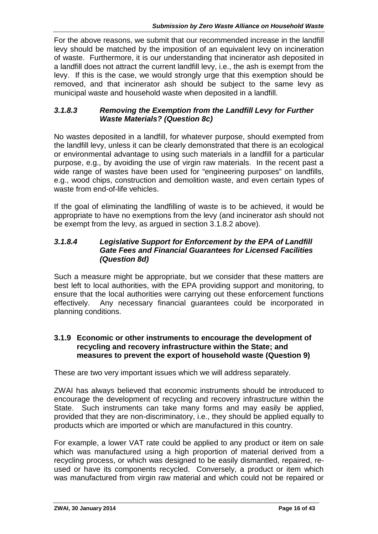For the above reasons, we submit that our recommended increase in the landfill levy should be matched by the imposition of an equivalent levy on incineration of waste. Furthermore, it is our understanding that incinerator ash deposited in a landfill does not attract the current landfill levy, i.e., the ash is exempt from the levy. If this is the case, we would strongly urge that this exemption should be removed, and that incinerator ash should be subject to the same levy as municipal waste and household waste when deposited in a landfill.

#### *3.1.8.3 Removing the Exemption from the Landfill Levy for Further Waste Materials? (Question 8c)*

No wastes deposited in a landfill, for whatever purpose, should exempted from the landfill levy, unless it can be clearly demonstrated that there is an ecological or environmental advantage to using such materials in a landfill for a particular purpose, e.g., by avoiding the use of virgin raw materials. In the recent past a wide range of wastes have been used for "engineering purposes" on landfills, e.g., wood chips, construction and demolition waste, and even certain types of waste from end-of-life vehicles.

If the goal of eliminating the landfilling of waste is to be achieved, it would be appropriate to have no exemptions from the levy (and incinerator ash should not be exempt from the levy, as argued in section 3.1.8.2 above).

#### *3.1.8.4 Legislative Support for Enforcement by the EPA of Landfill Gate Fees and Financial Guarantees for Licensed Facilities (Question 8d)*

Such a measure might be appropriate, but we consider that these matters are best left to local authorities, with the EPA providing support and monitoring, to ensure that the local authorities were carrying out these enforcement functions effectively. Any necessary financial guarantees could be incorporated in planning conditions.

#### **3.1.9 Economic or other instruments to encourage the development of recycling and recovery infrastructure within the State; and measures to prevent the export of household waste (Question 9)**

These are two very important issues which we will address separately.

ZWAI has always believed that economic instruments should be introduced to encourage the development of recycling and recovery infrastructure within the State. Such instruments can take many forms and may easily be applied, provided that they are non-discriminatory, i.e., they should be applied equally to products which are imported or which are manufactured in this country.

For example, a lower VAT rate could be applied to any product or item on sale which was manufactured using a high proportion of material derived from a recycling process, or which was designed to be easily dismantled, repaired, re used or have its components recycled. Conversely, a product or item which was manufactured from virgin raw material and which could not be repaired or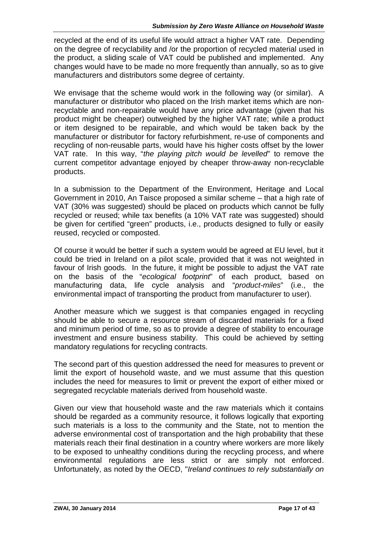recycled at the end of its useful life would attract a higher VAT rate. Depending on the degree of recyclability and /or the proportion of recycled material used in the product, a sliding scale of VAT could be published and implemented. Any changes would have to be made no more frequently than annually, so as to give manufacturers and distributors some degree of certainty.

We envisage that the scheme would work in the following way (or similar). A manufacturer or distributor who placed on the Irish market items which are nonrecyclable and non-repairable would have any price advantage (given that his product might be cheaper) outweighed by the higher VAT rate; while a product or item designed to be repairable, and which would be taken back by the manufacturer or distributor for factory refurbishment, re-use of components and recycling of non-reusable parts, would have his higher costs offset by the lower VAT rate. In this way, "*the playing pitch would be levelled*" to remove the current competitor advantage enjoyed by cheaper throw-away non-recyclable products.

In a submission to the Department of the Environment, Heritage and Local Government in 2010, An Taisce proposed a similar scheme – that a high rate of VAT (30% was suggested) should be placed on products which cannot be fully recycled or reused; while tax benefits (a 10% VAT rate was suggested) should be given for certified "green" products, i.e., products designed to fully or easily reused, recycled or composted.

Of course it would be better if such a system would be agreed at EU level, but it could be tried in Ireland on a pilot scale, provided that it was not weighted in favour of Irish goods. In the future, it might be possible to adjust the VAT rate on the basis of the "*ecological footprint*" of each product, based on manufacturing data, life cycle analysis and "*product-miles*" (i.e., the environmental impact of transporting the product from manufacturer to user).

Another measure which we suggest is that companies engaged in recycling should be able to secure a resource stream of discarded materials for a fixed and minimum period of time, so as to provide a degree of stability to encourage investment and ensure business stability. This could be achieved by setting mandatory regulations for recycling contracts.

The second part of this question addressed the need for measures to prevent or limit the export of household waste, and we must assume that this question includes the need for measures to limit or prevent the export of either mixed or segregated recyclable materials derived from household waste.

Given our view that household waste and the raw materials which it contains should be regarded as a community resource, it follows logically that exporting such materials is a loss to the community and the State, not to mention the adverse environmental cost of transportation and the high probability that these materials reach their final destination in a country where workers are more likely to be exposed to unhealthy conditions during the recycling process, and where environmental regulations are less strict or are simply not enforced. Unfortunately, as noted by the OECD, "*Ireland continues to rely substantially on*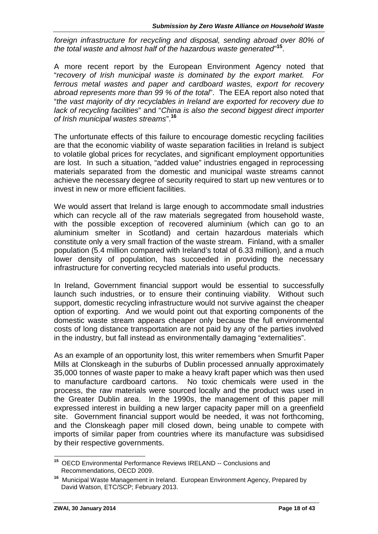*foreign infrastructure for recycling and disposal, sending abroad over 80% of the total waste and almost half of the hazardous waste generated*"**<sup>15</sup>** .

A more recent report by the European Environment Agency noted that "*recovery of Irish municipal waste is dominated by the export market. For ferrous metal wastes and paper and cardboard wastes, export for recovery abroad represents more than 99 % of the total*". The EEA report also noted that "*the vast majority of dry recyclables in Ireland are exported for recovery due to lack of recycling facilities*" and "*China is also the second biggest direct importer of Irish municipal wastes streams*".**<sup>16</sup>**

The unfortunate effects of this failure to encourage domestic recycling facilities are that the economic viability of waste separation facilities in Ireland is subject to volatile global prices for recyclates, and significant employment opportunities are lost. In such a situation, "added value" industries engaged in reprocessing materials separated from the domestic and municipal waste streams cannot achieve the necessary degree of security required to start up new ventures or to invest in new or more efficient facilities.

We would assert that Ireland is large enough to accommodate small industries which can recycle all of the raw materials segregated from household waste, with the possible exception of recovered aluminium (which can go to an aluminium smelter in Scotland) and certain hazardous materials which constitute only a very small fraction of the waste stream. Finland, with a smaller population (5.4 million compared with Ireland's total of 6.33 million), and a much lower density of population, has succeeded in providing the necessary infrastructure for converting recycled materials into useful products.

In Ireland, Government financial support would be essential to successfully launch such industries, or to ensure their continuing viability. Without such support, domestic recycling infrastructure would not survive against the cheaper option of exporting. And we would point out that exporting components of the domestic waste stream appears cheaper only because the full environmental costs of long distance transportation are not paid by any of the parties involved in the industry, but fall instead as environmentally damaging "externalities".

As an example of an opportunity lost, this writer remembers when Smurfit Paper Mills at Clonskeagh in the suburbs of Dublin processed annually approximately 35,000 tonnes of waste paper to make a heavy kraft paper which was then used to manufacture cardboard cartons. No toxic chemicals were used in the process, the raw materials were sourced locally and the product was used in the Greater Dublin area. In the 1990s, the management of this paper mill expressed interest in building a new larger capacity paper mill on a greenfield site. Government financial support would be needed, it was not forthcoming, and the Clonskeagh paper mill closed down, being unable to compete with imports of similar paper from countries where its manufacture was subsidised by their respective governments.

**<sup>15</sup>** OECD Environmental Performance Reviews IRELAND -- Conclusions and Recommendations, OECD 2009.

**<sup>16</sup>** Municipal Waste Management in Ireland. European Environment Agency, Prepared by David Watson, ETC/SCP; February 2013.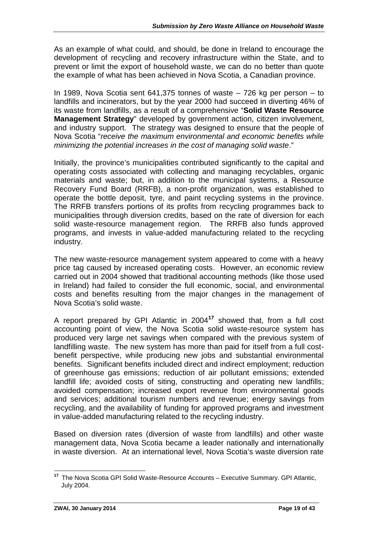As an example of what could, and should, be done in Ireland to encourage the development of recycling and recovery infrastructure within the State, and to prevent or limit the export of household waste, we can do no better than quote the example of what has been achieved in Nova Scotia, a Canadian province.

In 1989, Nova Scotia sent 641,375 tonnes of waste – 726 kg per person – to landfills and incinerators, but by the year 2000 had succeed in diverting 46% of its waste from landfills, as a result of a comprehensive "**Solid Waste Resource Management Strategy**" developed by government action, citizen involvement, and industry support. The strategy was designed to ensure that the people of Nova Scotia "*receive the maximum environmental and economic benefits while minimizing the potential increases in the cost of managing solid waste*."

Initially, the province's municipalities contributed significantly to the capital and operating costs associated with collecting and managing recyclables, organic materials and waste; but, in addition to the municipal systems, a Resource Recovery Fund Board (RRFB), a non-profit organization, was established to operate the bottle deposit, tyre, and paint recycling systems in the province. The RRFB transfers portions of its profits from recycling programmes back to municipalities through diversion credits, based on the rate of diversion for each solid waste-resource management region. The RRFB also funds approved programs, and invests in value-added manufacturing related to the recycling industry.

The new waste-resource management system appeared to come with a heavy price tag caused by increased operating costs. However, an economic review carried out in 2004 showed that traditional accounting methods (like those used in Ireland) had failed to consider the full economic, social, and environmental costs and benefits resulting from the major changes in the management of Nova Scotia's solid waste.

A report prepared by GPI Atlantic in 2004**<sup>17</sup>** showed that, from a full cost accounting point of view, the Nova Scotia solid waste-resource system has produced very large net savings when compared with the previous system of landfilling waste. The new system has more than paid for itself from a full cost benefit perspective, while producing new jobs and substantial environmental benefits. Significant benefits included direct and indirect employment; reduction of greenhouse gas emissions; reduction of air pollutant emissions; extended landfill life; avoided costs of siting, constructing and operating new landfills; avoided compensation; increased export revenue from environmental goods and services; additional tourism numbers and revenue; energy savings from recycling, and the availability of funding for approved programs and investment in value-added manufacturing related to the recycling industry.

Based on diversion rates (diversion of waste from landfills) and other waste management data, Nova Scotia became a leader nationally and internationally in waste diversion. At an international level, Nova Scotia's waste diversion rate

**<sup>17</sup>** The Nova Scotia GPI Solid Waste-Resource Accounts – Executive Summary. GPI Atlantic, July 2004.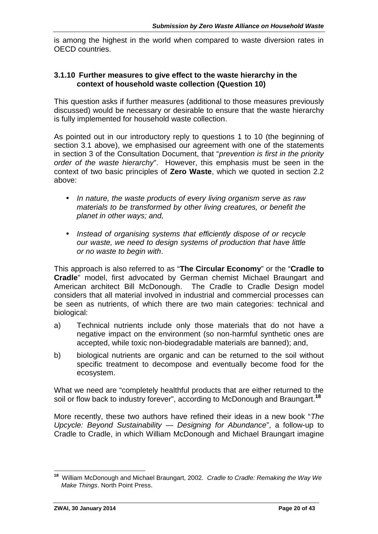is among the highest in the world when compared to waste diversion rates in OECD countries.

#### **3.1.10 Further measures to give effect to the waste hierarchy in the context of household waste collection (Question 10)**

This question asks if further measures (additional to those measures previously discussed) would be necessary or desirable to ensure that the waste hierarchy is fully implemented for household waste collection.

As pointed out in our introductory reply to questions 1 to 10 (the beginning of section 3.1 above), we emphasised our agreement with one of the statements in section 3 of the Consultation Document, that "*prevention is first in the priority order of the waste hierarchy*". However, this emphasis must be seen in the context of two basic principles of **Zero Waste**, which we quoted in section 2.2 above:

- *In nature, the waste products of every living organism serve as raw materials to be transformed by other living creatures, or benefit the planet in other ways; and,*
- *Instead of organising systems that efficiently dispose of or recycle our waste, we need to design systems of production that have little or no waste to begin with*.

This approach is also referred to as "**The Circular Economy**" or the "**Cradle to Cradle**" model, first advocated by German chemist Michael Braungart and American architect Bill McDonough. The Cradle to Cradle Design model considers that all material involved in industrial and commercial processes can be seen as nutrients, of which there are two main categories: technical and biological:

- a) Technical nutrients include only those materials that do not have a negative impact on the environment (so non-harmful synthetic ones are accepted, while toxic non-biodegradable materials are banned); and,
- b) biological nutrients are organic and can be returned to the soil without specific treatment to decompose and eventually become food for the ecosystem.

What we need are "completely healthful products that are either returned to the soil or flow back to industry forever", according to McDonough and Braungart.**<sup>18</sup>**

More recently, these two authors have refined their ideas in a new book "*The Upcycle: Beyond Sustainability — Designing for Abundance*", a follow-up to Cradle to Cradle, in which William McDonough and Michael Braungart imagine

**<sup>18</sup>** William McDonough and Michael Braungart, 2002. *Cradle to Cradle: Remaking the Way We Make Things*. North Point Press.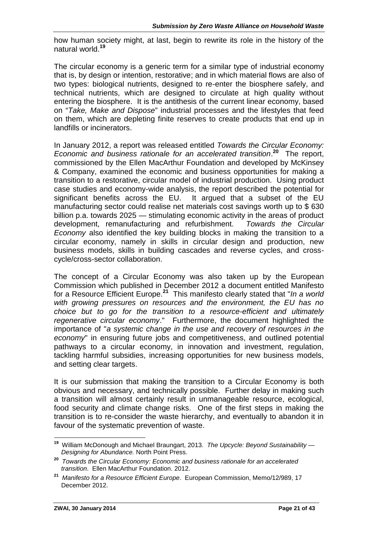how human society might, at last, begin to rewrite its role in the history of the natural world.**<sup>19</sup>**

The circular economy is a generic term for a similar type of industrial economy that is, by design or intention, restorative; and in which material flows are also of two types: biological nutrients, designed to re-enter the biosphere safely, and technical nutrients, which are designed to circulate at high quality without entering the biosphere. It is the antithesis of the current linear economy, based on "*Take, Make and Dispose*" industrial processes and the lifestyles that feed on them, which are depleting finite reserves to create products that end up in landfills or incinerators.

In January 2012, a report was released entitled *Towards the Circular Economy: Economic and business rationale for an accelerated transition*.**<sup>20</sup>** The report, commissioned by the Ellen MacArthur Foundation and developed by McKinsey & Company, examined the economic and business opportunities for making a transition to a restorative, circular model of industrial production. Using product case studies and economy-wide analysis, the report described the potential for significant benefits across the EU. It argued that a subset of the EU manufacturing sector could realise net materials cost savings worth up to \$ 630 billion p.a. towards 2025 — stimulating economic activity in the areas of product development, remanufacturing and refurbishment. *Towards the Circular Economy* also identified the key building blocks in making the transition to a circular economy, namely in skills in circular design and production, new business models, skills in building cascades and reverse cycles, and cross cycle/cross-sector collaboration.

The concept of a Circular Economy was also taken up by the European Commission which published in December 2012 a document entitled Manifesto for a Resource Efficient Europe.**<sup>21</sup>** This manifesto clearly stated that "*In a world with growing pressures on resources and the environment, the EU has no choice but to go for the transition to a resource-efficient and ultimately regenerative circular economy*." Furthermore, the document highlighted the importance of "*a systemic change in the use and recovery of resources in the economy*" in ensuring future jobs and competitiveness, and outlined potential pathways to a circular economy, in innovation and investment, regulation, tackling harmful subsidies, increasing opportunities for new business models, and setting clear targets.

It is our submission that making the transition to a Circular Economy is both obvious and necessary, and technically possible. Further delay in making such a transition will almost certainly result in unmanageable resource, ecological, food security and climate change risks. One of the first steps in making the transition is to re-consider the waste hierarchy, and eventually to abandon it in favour of the systematic prevention of waste.

**<sup>19</sup>** William McDonough and Michael Braungart, 2013. *The Upcycle: Beyond Sustainability — Designing for Abundance.* North Point Press.

**<sup>20</sup>** *Towards the Circular Economy: Economic and business rationale for an accelerated transition*. Ellen MacArthur Foundation. 2012.

**<sup>21</sup>** *Manifesto for a Resource Efficient Europe*. European Commission, Memo/12/989, 17 December 2012.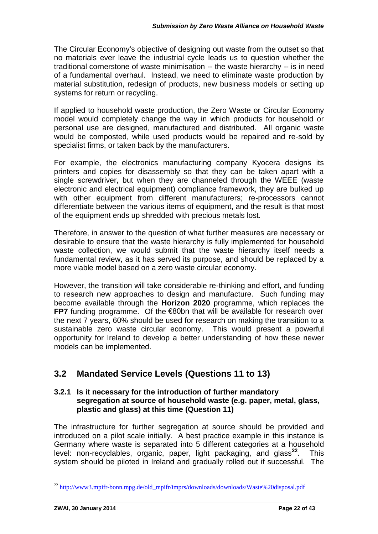The Circular Economy's objective of designing out waste from the outset so that no materials ever leave the industrial cycle leads us to question whether the traditional cornerstone of waste minimisation -- the waste hierarchy -- is in need of a fundamental overhaul. Instead, we need to eliminate waste production by material substitution, redesign of products, new business models or setting up systems for return or recycling.

If applied to household waste production, the Zero Waste or Circular Economy model would completely change the way in which products for household or personal use are designed, manufactured and distributed. All organic waste would be composted, while used products would be repaired and re-sold by specialist firms, or taken back by the manufacturers.

For example, the electronics manufacturing company Kyocera designs its printers and copies for disassembly so that they can be taken apart with a single screwdriver, but when they are channeled through the WEEE (waste electronic and electrical equipment) compliance framework, they are bulked up with other equipment from different manufacturers; re-processors cannot differentiate between the various items of equipment, and the result is that most of the equipment ends up shredded with precious metals lost.

Therefore, in answer to the question of what further measures are necessary or desirable to ensure that the waste hierarchy is fully implemented for household waste collection, we would submit that the waste hierarchy itself needs a fundamental review, as it has served its purpose, and should be replaced by a more viable model based on a zero waste circular economy.

However, the transition will take considerable re-thinking and effort, and funding to research new approaches to design and manufacture. Such funding may become available through the **Horizon 2020** programme, which replaces the **FP7** funding programme. Of the €80bn that will be available for research over the next 7 years, 60% should be used for research on making the transition to a sustainable zero waste circular economy. This would present a powerful opportunity for Ireland to develop a better understanding of how these newer models can be implemented.

# **3.2 Mandated Service Levels (Questions 11 to 13)**

#### **3.2.1 Is it necessary for the introduction of further mandatory segregation at source of household waste (e.g. paper, metal, glass, plastic and glass) at this time (Question 11)**

The infrastructure for further segregation at source should be provided and introduced on a pilot scale initially. A best practice example in this instance is Germany where waste is separated into 5 different categories at a household level: non-recyclables, organic, paper, light packaging, and glass<sup>22</sup>. . This system should be piloted in Ireland and gradually rolled out if successful. The

<sup>&</sup>lt;sup>22</sup> http://www3.mpifr-bonn.mpg.de/old\_mpifr/imprs/down<u>loads/downloads/Waste%20disposal.pdf</u>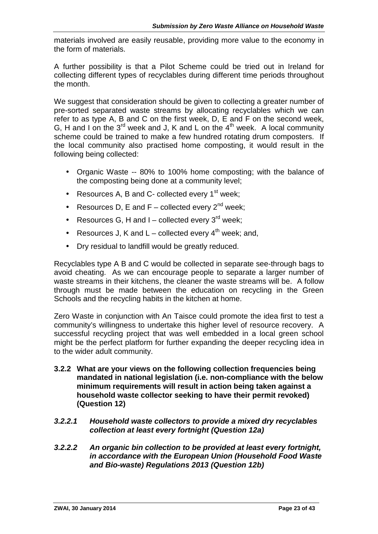materials involved are easily reusable, providing more value to the economy in the form of materials.

A further possibility is that a Pilot Scheme could be tried out in Ireland for collecting different types of recyclables during different time periods throughout the month.

We suggest that consideration should be given to collecting a greater number of pre-sorted separated waste streams by allocating recyclables which we can refer to as type A, B and C on the first week, D, E and F on the second week, G, H and I on the  $3^{rd}$  week and J, K and L on the  $4^{th}$  week. A local community scheme could be trained to make a few hundred rotating drum composters. If the local community also practised home composting, it would result in the following being collected:

- Organic Waste -- 80% to 100% home composting; with the balance of the composting being done at a community level;
- Resources A, B and C- collected every  $1<sup>st</sup>$  week;
- Resources D, E and  $F$  collected every  $2^{nd}$  week;
- Resources G, H and I collected every  $3^{\text{rd}}$  week;
- Resources J, K and  $L$  collected every  $4^{th}$  week; and,
- Dry residual to landfill would be greatly reduced.

Recyclables type A B and C would be collected in separate see-through bags to avoid cheating. As we can encourage people to separate a larger number of waste streams in their kitchens, the cleaner the waste streams will be. A follow through must be made between the education on recycling in the Green Schools and the recycling habits in the kitchen at home.

Zero Waste in conjunction with An Taisce could promote the idea first to test a community's willingness to undertake this higher level of resource recovery. A successful recycling project that was well embedded in a local green school might be the perfect platform for further expanding the deeper recycling idea in to the wider adult community.

- **3.2.2 What are your views on the following collection frequencies being mandated in national legislation (i.e. non-compliance with the below minimum requirements will result in action being taken against a household waste collector seeking to have their permit revoked) (Question 12)**
- *3.2.2.1 Household waste collectors to provide a mixed dry recyclables collection at least every fortnight (Question 12a)*
- *3.2.2.2 An organic bin collection to be provided at least every fortnight, in accordance with the European Union (Household Food Waste and Bio-waste) Regulations 2013 (Question 12b)*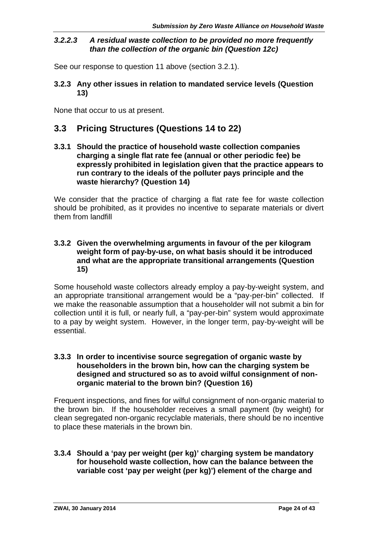#### *3.2.2.3 A residual waste collection to be provided no more frequently than the collection of the organic bin (Question 12c)*

See our response to question 11 above (section 3.2.1).

**3.2.3 Any other issues in relation to mandated service levels (Question 13)**

None that occur to us at present.

### **3.3 Pricing Structures (Questions 14 to 22)**

**3.3.1 Should the practice of household waste collection companies charging a single flat rate fee (annual or other periodic fee) be expressly prohibited in legislation given that the practice appears to run contrary to the ideals of the polluter pays principle and the waste hierarchy? (Question 14)**

We consider that the practice of charging a flat rate fee for waste collection should be prohibited, as it provides no incentive to separate materials or divert them from landfill

#### **3.3.2 Given the overwhelming arguments in favour of the per kilogram weight form of pay-by-use, on what basis should it be introduced and what are the appropriate transitional arrangements (Question 15)**

Some household waste collectors already employ a pay-by-weight system, and an appropriate transitional arrangement would be a "pay-per-bin" collected. If we make the reasonable assumption that a householder will not submit a bin for collection until it is full, or nearly full, a "pay-per-bin" system would approximate to a pay by weight system. However, in the longer term, pay-by-weight will be essential.

#### **3.3.3 In order to incentivise source segregation of organic waste by householders in the brown bin, how can the charging system be designed and structured so as to avoid wilful consignment of non organic material to the brown bin? (Question 16)**

Frequent inspections, and fines for wilful consignment of non-organic material to the brown bin. If the householder receives a small payment (by weight) for clean segregated non-organic recyclable materials, there should be no incentive to place these materials in the brown bin.

#### **3.3.4 Should a 'pay per weight (per kg)' charging system be mandatory for household waste collection, how can the balance between the variable cost 'pay per weight (per kg)') element of the charge and**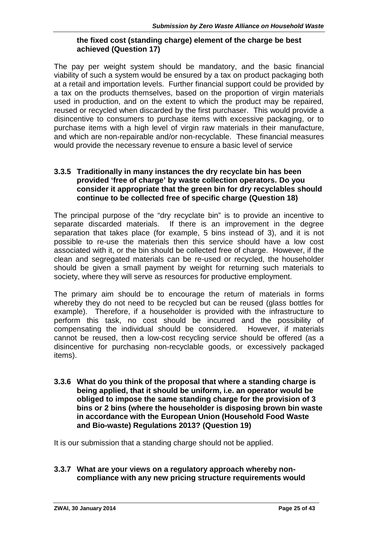#### **the fixed cost (standing charge) element of the charge be best achieved (Question 17)**

The pay per weight system should be mandatory, and the basic financial viability of such a system would be ensured by a tax on product packaging both at a retail and importation levels. Further financial support could be provided by a tax on the products themselves, based on the proportion of virgin materials used in production, and on the extent to which the product may be repaired, reused or recycled when discarded by the first purchaser. This would provide a disincentive to consumers to purchase items with excessive packaging, or to purchase items with a high level of virgin raw materials in their manufacture, and which are non-repairable and/or non-recyclable. These financial measures would provide the necessary revenue to ensure a basic level of service

#### **3.3.5 Traditionally in many instances the dry recyclate bin has been provided 'free of charge' by waste collection operators. Do you consider it appropriate that the green bin for dry recyclables should continue to be collected free of specific charge (Question 18)**

The principal purpose of the "dry recyclate bin" is to provide an incentive to separate discarded materials. If there is an improvement in the degree separation that takes place (for example, 5 bins instead of 3), and it is not possible to re-use the materials then this service should have a low cost associated with it, or the bin should be collected free of charge. However, if the clean and segregated materials can be re-used or recycled, the householder should be given a small payment by weight for returning such materials to society, where they will serve as resources for productive employment.

The primary aim should be to encourage the return of materials in forms whereby they do not need to be recycled but can be reused (glass bottles for example). Therefore, if a householder is provided with the infrastructure to perform this task, no cost should be incurred and the possibility of compensating the individual should be considered. However, if materials cannot be reused, then a low-cost recycling service should be offered (as a disincentive for purchasing non-recyclable goods, or excessively packaged items).

**3.3.6 What do you think of the proposal that where a standing charge is being applied, that it should be uniform, i.e. an operator would be obliged to impose the same standing charge for the provision of 3 bins or 2 bins (where the householder is disposing brown bin waste in accordance with the European Union (Household Food Waste and Bio-waste) Regulations 2013? (Question 19)**

It is our submission that a standing charge should not be applied.

**3.3.7 What are your views on a regulatory approach whereby non compliance with any new pricing structure requirements would**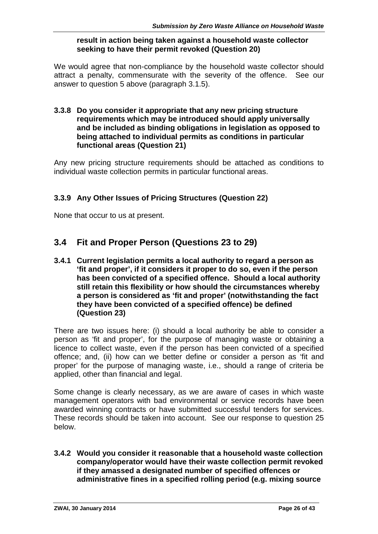#### **result in action being taken against a household waste collector seeking to have their permit revoked (Question 20)**

We would agree that non-compliance by the household waste collector should attract a penalty, commensurate with the severity of the offence. See our answer to question 5 above (paragraph 3.1.5).

#### **3.3.8 Do you consider it appropriate that any new pricing structure requirements which may be introduced should apply universally and be included as binding obligations in legislation as opposed to being attached to individual permits as conditions in particular functional areas (Question 21)**

Any new pricing structure requirements should be attached as conditions to individual waste collection permits in particular functional areas.

#### **3.3.9 Any Other Issues of Pricing Structures (Question 22)**

None that occur to us at present.

## **3.4 Fit and Proper Person (Questions 23 to 29)**

**3.4.1 Current legislation permits a local authority to regard a person as 'fit and proper', if it considers it proper to do so, even if the person has been convicted of a specified offence. Should a local authority still retain this flexibility or how should the circumstances whereby a person is considered as 'fit and proper' (notwithstanding the fact they have been convicted of a specified offence) be defined (Question 23)**

There are two issues here: (i) should a local authority be able to consider a person as 'fit and proper', for the purpose of managing waste or obtaining a licence to collect waste, even if the person has been convicted of a specified offence; and, (ii) how can we better define or consider a person as 'fit and proper' for the purpose of managing waste, i.e., should a range of criteria be applied, other than financial and legal.

Some change is clearly necessary, as we are aware of cases in which waste management operators with bad environmental or service records have been awarded winning contracts or have submitted successful tenders for services. These records should be taken into account. See our response to question 25 below.

**3.4.2 Would you consider it reasonable that a household waste collection company/operator would have their waste collection permit revoked if they amassed a designated number of specified offences or administrative fines in a specified rolling period (e.g. mixing source**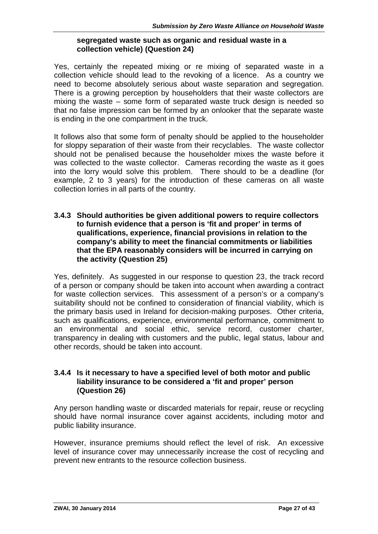#### **segregated waste such as organic and residual waste in a collection vehicle) (Question 24)**

Yes, certainly the repeated mixing or re mixing of separated waste in a collection vehicle should lead to the revoking of a licence. As a country we need to become absolutely serious about waste separation and segregation. There is a growing perception by householders that their waste collectors are mixing the waste – some form of separated waste truck design is needed so that no false impression can be formed by an onlooker that the separate waste is ending in the one compartment in the truck.

It follows also that some form of penalty should be applied to the householder for sloppy separation of their waste from their recyclables. The waste collector should not be penalised because the householder mixes the waste before it was collected to the waste collector. Cameras recording the waste as it goes into the lorry would solve this problem. There should to be a deadline (for example, 2 to 3 years) for the introduction of these cameras on all waste collection lorries in all parts of the country.

#### **3.4.3 Should authorities be given additional powers to require collectors to furnish evidence that a person is 'fit and proper' in terms of qualifications, experience, financial provisions in relation to the company's ability to meet the financial commitments or liabilities that the EPA reasonably considers will be incurred in carrying on the activity (Question 25)**

Yes, definitely. As suggested in our response to question 23, the track record of a person or company should be taken into account when awarding a contract for waste collection services. This assessment of a person's or a company's suitability should not be confined to consideration of financial viability, which is the primary basis used in Ireland for decision-making purposes. Other criteria, such as qualifications, experience, environmental performance, commitment to an environmental and social ethic, service record, customer charter, transparency in dealing with customers and the public, legal status, labour and other records, should be taken into account.

#### **3.4.4 Is it necessary to have a specified level of both motor and public liability insurance to be considered a 'fit and proper' person (Question 26)**

Any person handling waste or discarded materials for repair, reuse or recycling should have normal insurance cover against accidents, including motor and public liability insurance.

However, insurance premiums should reflect the level of risk. An excessive level of insurance cover may unnecessarily increase the cost of recycling and prevent new entrants to the resource collection business.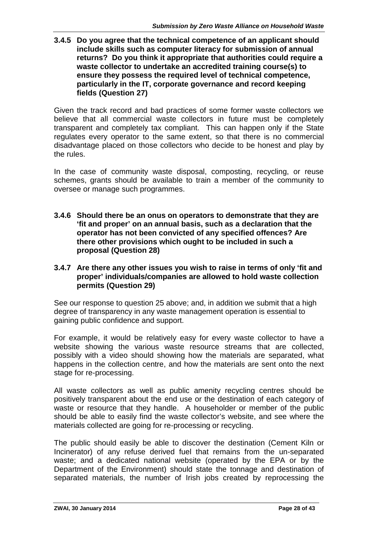**3.4.5 Do you agree that the technical competence of an applicant should include skills such as computer literacy for submission of annual returns? Do you think it appropriate that authorities could require a waste collector to undertake an accredited training course(s) to ensure they possess the required level of technical competence, particularly in the IT, corporate governance and record keeping fields (Question 27)**

Given the track record and bad practices of some former waste collectors we believe that all commercial waste collectors in future must be completely transparent and completely tax compliant. This can happen only if the State regulates every operator to the same extent, so that there is no commercial disadvantage placed on those collectors who decide to be honest and play by the rules.

In the case of community waste disposal, composting, recycling, or reuse schemes, grants should be available to train a member of the community to oversee or manage such programmes.

- **3.4.6 Should there be an onus on operators to demonstrate that they are 'fit and proper' on an annual basis, such as a declaration that the operator has not been convicted of any specified offences? Are there other provisions which ought to be included in such a proposal (Question 28)**
- **3.4.7 Are there any other issues you wish to raise in terms of only 'fit and proper' individuals/companies are allowed to hold waste collection permits (Question 29)**

See our response to question 25 above; and, in addition we submit that a high degree of transparency in any waste management operation is essential to gaining public confidence and support.

For example, it would be relatively easy for every waste collector to have a website showing the various waste resource streams that are collected, possibly with a video should showing how the materials are separated, what happens in the collection centre, and how the materials are sent onto the next stage for re-processing.

All waste collectors as well as public amenity recycling centres should be positively transparent about the end use or the destination of each category of waste or resource that they handle. A householder or member of the public should be able to easily find the waste collector's website, and see where the materials collected are going for re-processing or recycling.

The public should easily be able to discover the destination (Cement Kiln or Incinerator) of any refuse derived fuel that remains from the un-separated waste; and a dedicated national website (operated by the EPA or by the Department of the Environment) should state the tonnage and destination of separated materials, the number of Irish jobs created by reprocessing the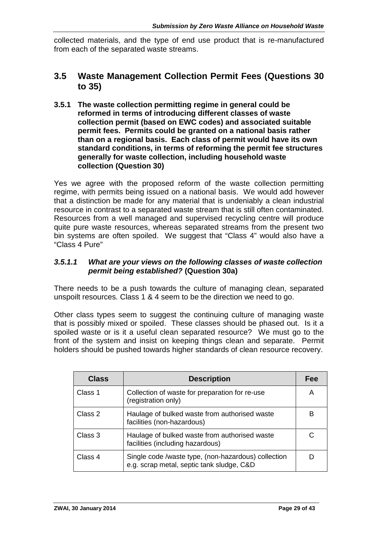collected materials, and the type of end use product that is re-manufactured from each of the separated waste streams.

## **3.5 Waste Management Collection Permit Fees (Questions 30 to 35)**

**3.5.1 The waste collection permitting regime in general could be reformed in terms of introducing different classes of waste collection permit (based on EWC codes) and associated suitable permit fees. Permits could be granted on a national basis rather than on a regional basis. Each class of permit would have its own standard conditions, in terms of reforming the permit fee structures generally for waste collection, including household waste collection (Question 30)**

Yes we agree with the proposed reform of the waste collection permitting regime, with permits being issued on a national basis. We would add however that a distinction be made for any material that is undeniably a clean industrial resource in contrast to a separated waste stream that is still often contaminated. Resources from a well managed and supervised recycling centre will produce quite pure waste resources, whereas separated streams from the present two bin systems are often spoiled. We suggest that "Class 4" would also have a "Class 4 Pure"

#### *3.5.1.1 What are your views on the following classes of waste collection permit being established?* **(Question 30a)**

There needs to be a push towards the culture of managing clean, separated unspoilt resources. Class 1 & 4 seem to be the direction we need to go.

Other class types seem to suggest the continuing culture of managing waste that is possibly mixed or spoiled. These classes should be phased out. Is it a spoiled waste or is it a useful clean separated resource? We must go to the front of the system and insist on keeping things clean and separate. Permit holders should be pushed towards higher standards of clean resource recovery.

| <b>Class</b> | <b>Description</b>                                                                               | Fee |
|--------------|--------------------------------------------------------------------------------------------------|-----|
| Class 1      | Collection of waste for preparation for re-use<br>(registration only)                            | A   |
| Class 2      | Haulage of bulked waste from authorised waste<br>facilities (non-hazardous)                      | в   |
| Class 3      | Haulage of bulked waste from authorised waste<br>facilities (including hazardous)                | C   |
| Class 4      | Single code /waste type, (non-hazardous) collection<br>e.g. scrap metal, septic tank sludge, C&D |     |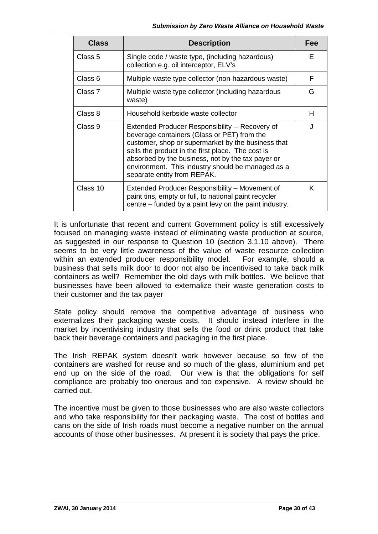| <b>Class</b> | <b>Description</b>                                                                                                                                                                                                                                                                                                                                 | Fee |
|--------------|----------------------------------------------------------------------------------------------------------------------------------------------------------------------------------------------------------------------------------------------------------------------------------------------------------------------------------------------------|-----|
| Class 5      | Single code / waste type, (including hazardous)<br>collection e.g. oil interceptor, ELV's                                                                                                                                                                                                                                                          | F   |
| Class 6      | Multiple waste type collector (non-hazardous waste)                                                                                                                                                                                                                                                                                                | F   |
| Class 7      | Multiple waste type collector (including hazardous<br>waste)                                                                                                                                                                                                                                                                                       | G   |
| Class 8      | Household kerbside waste collector                                                                                                                                                                                                                                                                                                                 | H.  |
| Class 9      | Extended Producer Responsibility -- Recovery of<br>beverage containers (Glass or PET) from the<br>customer, shop or supermarket by the business that<br>sells the product in the first place. The cost is<br>absorbed by the business, not by the tax payer or<br>environment. This industry should be managed as a<br>separate entity from REPAK. |     |
| Class 10     | Extended Producer Responsibility – Movement of<br>paint tins, empty or full, to national paint recycler<br>centre – funded by a paint levy on the paint industry.                                                                                                                                                                                  | K   |

It is unfortunate that recent and current Government policy is still excessively focused on managing waste instead of eliminating waste production at source, as suggested in our response to Question 10 (section 3.1.10 above). There seems to be very little awareness of the value of waste resource collection within an extended producer responsibility model. For example, should a business that sells milk door to door not also be incentivised to take back milk containers as well? Remember the old days with milk bottles. We believe that businesses have been allowed to externalize their waste generation costs to their customer and the tax payer

State policy should remove the competitive advantage of business who externalizes their packaging waste costs. It should instead interfere in the market by incentivising industry that sells the food or drink product that take back their beverage containers and packaging in the first place.

The Irish REPAK system doesn't work however because so few of the containers are washed for reuse and so much of the glass, aluminium and pet end up on the side of the road. Our view is that the obligations for self compliance are probably too onerous and too expensive. A review should be carried out.

The incentive must be given to those businesses who are also waste collectors and who take responsibility for their packaging waste. The cost of bottles and cans on the side of Irish roads must become a negative number on the annual accounts of those other businesses. At present it is society that pays the price.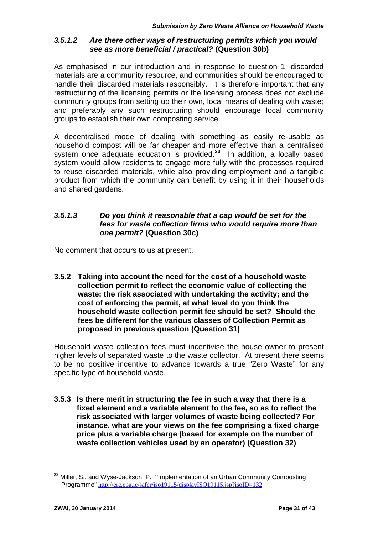#### *3.5.1.2 Are there other ways of restructuring permits which you would see as more beneficial / practical?* **(Question 30b)**

As emphasised in our introduction and in response to question 1, discarded materials are a community resource, and communities should be encouraged to handle their discarded materials responsibly. It is therefore important that any restructuring of the licensing permits or the licensing process does not exclude community groups from setting up their own, local means of dealing with waste; and preferably any such restructuring should encourage local community groups to establish their own composting service.

A decentralised mode of dealing with something as easily re-usable as household compost will be far cheaper and more effective than a centralised system once adequate education is provided.**<sup>23</sup>** In addition, a locally based system would allow residents to engage more fully with the processes required to reuse discarded materials, while also providing employment and a tangible product from which the community can benefit by using it in their households and shared gardens.

#### *3.5.1.3 Do you think it reasonable that a cap would be set for the fees for waste collection firms who would require more than one permit?* **(Question 30c)**

No comment that occurs to us at present.

**3.5.2 Taking into account the need for the cost of a household waste collection permit to reflect the economic value of collecting the waste; the risk associated with undertaking the activity; and the cost of enforcing the permit, at what level do you think the household waste collection permit fee should be set? Should the fees be different for the various classes of Collection Permit as proposed in previous question (Question 31)**

Household waste collection fees must incentivise the house owner to present higher levels of separated waste to the waste collector. At present there seems to be no positive incentive to advance towards a true "Zero Waste" for any specific type of household waste.

**3.5.3 Is there merit in structuring the fee in such a way that there is a fixed element and a variable element to the fee, so as to reflect the risk associated with larger volumes of waste being collected? For instance, what are your views on the fee comprising a fixed charge price plus a variable charge (based for example on the number of waste collection vehicles used by an operator) (Question 32)**

**<sup>23</sup>** Miller, S., and Wyse-Jackson, P. **"**Implementation of an Urban Community Composting Programme" http://erc.epa.ie/safer/iso19115/displayISO19115.jsp?isoID=132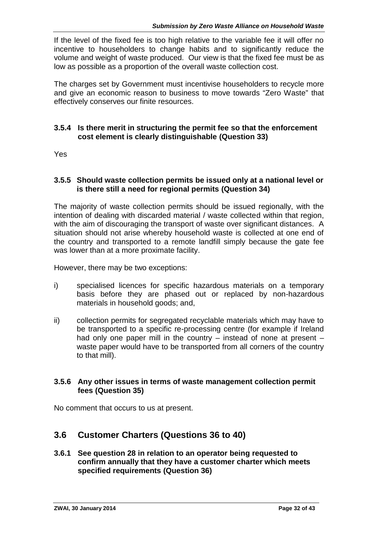If the level of the fixed fee is too high relative to the variable fee it will offer no incentive to householders to change habits and to significantly reduce the volume and weight of waste produced. Our view is that the fixed fee must be as low as possible as a proportion of the overall waste collection cost.

The charges set by Government must incentivise householders to recycle more and give an economic reason to business to move towards "Zero Waste" that effectively conserves our finite resources.

#### **3.5.4 Is there merit in structuring the permit fee so that the enforcement cost element is clearly distinguishable (Question 33)**

Yes

#### **3.5.5 Should waste collection permits be issued only at a national level or is there still a need for regional permits (Question 34)**

The majority of waste collection permits should be issued regionally, with the intention of dealing with discarded material / waste collected within that region, with the aim of discouraging the transport of waste over significant distances. A situation should not arise whereby household waste is collected at one end of the country and transported to a remote landfill simply because the gate fee was lower than at a more proximate facility.

However, there may be two exceptions:

- i) specialised licences for specific hazardous materials on a temporary basis before they are phased out or replaced by non-hazardous materials in household goods; and,
- ii) collection permits for segregated recyclable materials which may have to be transported to a specific re-processing centre (for example if Ireland had only one paper mill in the country – instead of none at present – waste paper would have to be transported from all corners of the country to that mill).

#### **3.5.6 Any other issues in terms of waste management collection permit fees (Question 35)**

No comment that occurs to us at present.

# **3.6 Customer Charters (Questions 36 to 40)**

#### **3.6.1 See question 28 in relation to an operator being requested to confirm annually that they have a customer charter which meets specified requirements (Question 36)**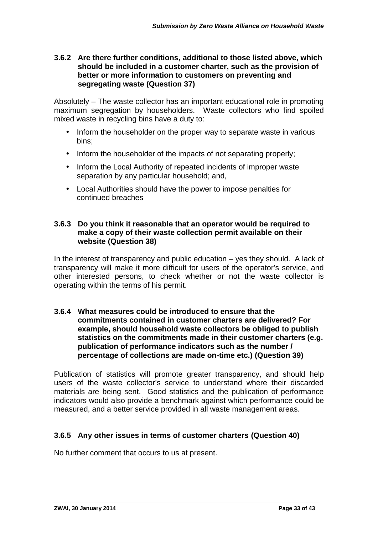#### **3.6.2 Are there further conditions, additional to those listed above, which should be included in a customer charter, such as the provision of better or more information to customers on preventing and segregating waste (Question 37)**

Absolutely – The waste collector has an important educational role in promoting maximum segregation by householders. Waste collectors who find spoiled mixed waste in recycling bins have a duty to:

- Inform the householder on the proper way to separate waste in various bins;
- Inform the householder of the impacts of not separating properly;
- Inform the Local Authority of repeated incidents of improper waste separation by any particular household; and,
- Local Authorities should have the power to impose penalties for continued breaches

#### **3.6.3 Do you think it reasonable that an operator would be required to make a copy of their waste collection permit available on their website (Question 38)**

In the interest of transparency and public education – yes they should. A lack of transparency will make it more difficult for users of the operator's service, and other interested persons, to check whether or not the waste collector is operating within the terms of his permit.

#### **3.6.4 What measures could be introduced to ensure that the commitments contained in customer charters are delivered? For example, should household waste collectors be obliged to publish statistics on the commitments made in their customer charters (e.g. publication of performance indicators such as the number / percentage of collections are made on-time etc.) (Question 39)**

Publication of statistics will promote greater transparency, and should help users of the waste collector's service to understand where their discarded materials are being sent. Good statistics and the publication of performance indicators would also provide a benchmark against which performance could be measured, and a better service provided in all waste management areas.

#### **3.6.5 Any other issues in terms of customer charters (Question 40)**

No further comment that occurs to us at present.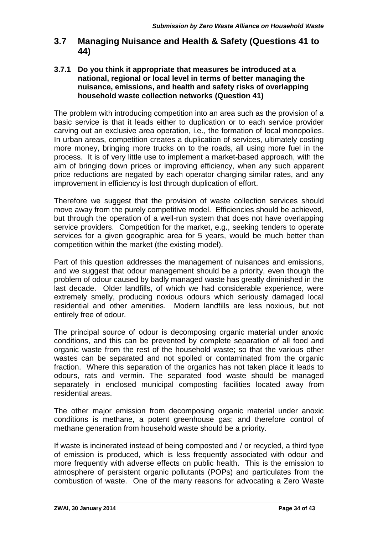## **3.7 Managing Nuisance and Health & Safety (Questions 41 to 44)**

#### **3.7.1 Do you think it appropriate that measures be introduced at a national, regional or local level in terms of better managing the nuisance, emissions, and health and safety risks of overlapping household waste collection networks (Question 41)**

The problem with introducing competition into an area such as the provision of a basic service is that it leads either to duplication or to each service provider carving out an exclusive area operation, i.e., the formation of local monopolies. In urban areas, competition creates a duplication of services, ultimately costing more money, bringing more trucks on to the roads, all using more fuel in the process. It is of very little use to implement a market-based approach, with the aim of bringing down prices or improving efficiency, when any such apparent price reductions are negated by each operator charging similar rates, and any improvement in efficiency is lost through duplication of effort.

Therefore we suggest that the provision of waste collection services should move away from the purely competitive model. Efficiencies should be achieved, but through the operation of a well-run system that does not have overlapping service providers. Competition for the market, e.g., seeking tenders to operate services for a given geographic area for 5 years, would be much better than competition within the market (the existing model).

Part of this question addresses the management of nuisances and emissions, and we suggest that odour management should be a priority, even though the problem of odour caused by badly managed waste has greatly diminished in the last decade. Older landfills, of which we had considerable experience, were extremely smelly, producing noxious odours which seriously damaged local residential and other amenities. Modern landfills are less noxious, but not entirely free of odour.

The principal source of odour is decomposing organic material under anoxic conditions, and this can be prevented by complete separation of all food and organic waste from the rest of the household waste; so that the various other wastes can be separated and not spoiled or contaminated from the organic fraction. Where this separation of the organics has not taken place it leads to odours, rats and vermin. The separated food waste should be managed separately in enclosed municipal composting facilities located away from residential areas.

The other major emission from decomposing organic material under anoxic conditions is methane, a potent greenhouse gas; and therefore control of methane generation from household waste should be a priority.

If waste is incinerated instead of being composted and / or recycled, a third type of emission is produced, which is less frequently associated with odour and more frequently with adverse effects on public health. This is the emission to atmosphere of persistent organic pollutants (POPs) and particulates from the combustion of waste. One of the many reasons for advocating a Zero Waste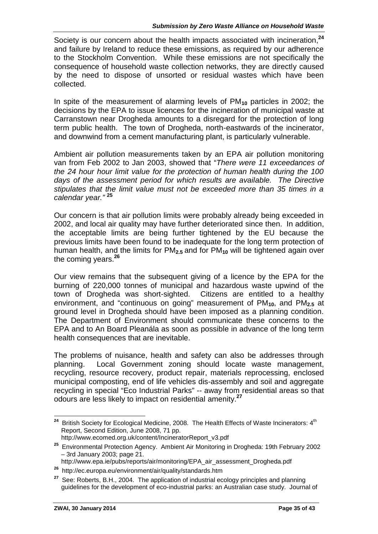Society is our concern about the health impacts associated with incineration,**<sup>24</sup>** and failure by Ireland to reduce these emissions, as required by our adherence to the Stockholm Convention. While these emissions are not specifically the consequence of household waste collection networks, they are directly caused by the need to dispose of unsorted or residual wastes which have been collected.

In spite of the measurement of alarming levels of PM**10** particles in 2002; the decisions by the EPA to issue licences for the incineration of municipal waste at Carranstown near Drogheda amounts to a disregard for the protection of long term public health. The town of Drogheda, north-eastwards of the incinerator, and downwind from a cement manufacturing plant, is particularly vulnerable.

Ambient air pollution measurements taken by an EPA air pollution monitoring van from Feb 2002 to Jan 2003, showed that "*There were 11 exceedances of the 24 hour hour limit value for the protection of human health during the 100 days of the assessment period for which results are available. The Directive stipulates that the limit value must not be exceeded more than 35 times in a calendar year."* **<sup>25</sup>**

Our concern is that air pollution limits were probably already being exceeded in 2002, and local air quality may have further deteriorated since then. In addition, the acceptable limits are being further tightened by the EU because the previous limits have been found to be inadequate for the long term protection of human health, and the limits for PM**2.5** and for PM**<sup>10</sup>** will be tightened again over the coming years.**<sup>26</sup>**

Our view remains that the subsequent giving of a licence by the EPA for the burning of 220,000 tonnes of municipal and hazardous waste upwind of the town of Drogheda was short-sighted. Citizens are entitled to a healthy environment, and "continuous on going" measurement of PM**10**, and PM**2.5** at ground level in Drogheda should have been imposed as a planning condition. The Department of Environment should communicate these concerns to the EPA and to An Board Pleanála as soon as possible in advance of the long term health consequences that are inevitable.

The problems of nuisance, health and safety can also be addresses through planning. Local Government zoning should locate waste management, recycling, resource recovery, product repair, materials reprocessing, enclosed municipal composting, end of life vehicles dis-assembly and soil and aggregate recycling in special "Eco Industrial Parks" -- away from residential areas so that odours are less likely to impact on residential amenity.**<sup>27</sup>**

http://www.epa.ie/pubs/reports/air/monitoring/EPA\_air\_assessment\_Drogheda.pdf

<sup>&</sup>lt;sup>24</sup> British Society for Ecological Medicine, 2008. The Health Effects of Waste Incinerators: 4<sup>th</sup> Report, Second Edition, June 2008, 71 pp. http://www.ecomed.org.uk/content/IncineratorReport\_v3.pdf

**<sup>25</sup>** Environmental Protection Agency. Ambient Air Monitoring in Drogheda: 19th February 2002 – 3rd January 2003; page 21.

**<sup>26</sup>** http://ec.europa.eu/environment/air/quality/standards.htm

**<sup>27</sup>** See: Roberts, B.H., 2004. The application of industrial ecology principles and planning guidelines for the development of eco-industrial parks: an Australian case study. Journal of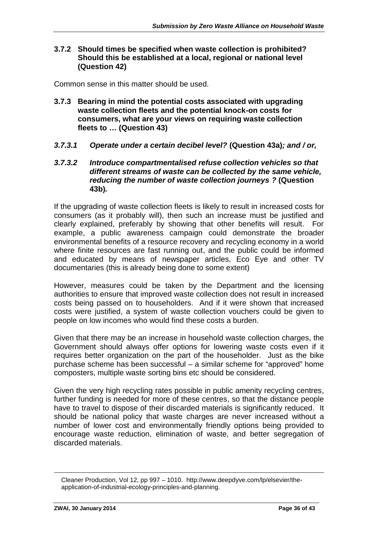#### **3.7.2 Should times be specified when waste collection is prohibited? Should this be established at a local, regional or national level (Question 42)**

Common sense in this matter should be used.

- **3.7.3 Bearing in mind the potential costs associated with upgrading waste collection fleets and the potential knock-on costs for consumers, what are your views on requiring waste collection fleets to … (Question 43)**
- *3.7.3.1 Operate under a certain decibel level?* **(Question 43a)***; and / or,*
- *3.7.3.2 Introduce compartmentalised refuse collection vehicles so that different streams of waste can be collected by the same vehicle, reducing the number of waste collection journeys ?* **(Question 43b)***.*

If the upgrading of waste collection fleets is likely to result in increased costs for consumers (as it probably will), then such an increase must be justified and clearly explained, preferably by showing that other benefits will result. For example, a public awareness campaign could demonstrate the broader environmental benefits of a resource recovery and recycling economy in a world where finite resources are fast running out, and the public could be informed and educated by means of newspaper articles, Eco Eye and other TV documentaries (this is already being done to some extent)

However, measures could be taken by the Department and the licensing authorities to ensure that improved waste collection does not result in increased costs being passed on to householders. And if it were shown that increased costs were justified, a system of waste collection vouchers could be given to people on low incomes who would find these costs a burden.

Given that there may be an increase in household waste collection charges, the Government should always offer options for lowering waste costs even if it requires better organization on the part of the householder. Just as the bike purchase scheme has been successful – a similar scheme for "approved" home composters, multiple waste sorting bins etc should be considered.

Given the very high recycling rates possible in public amenity recycling centres, further funding is needed for more of these centres, so that the distance people have to travel to dispose of their discarded materials is significantly reduced. It should be national policy that waste charges are never increased without a number of lower cost and environmentally friendly options being provided to encourage waste reduction, elimination of waste, and better segregation of discarded materials.

Cleaner Production, Vol 12, pp 997 – 1010. http://www.deepdyve.com/lp/elsevier/the application-of-industrial-ecology-principles-and-planning.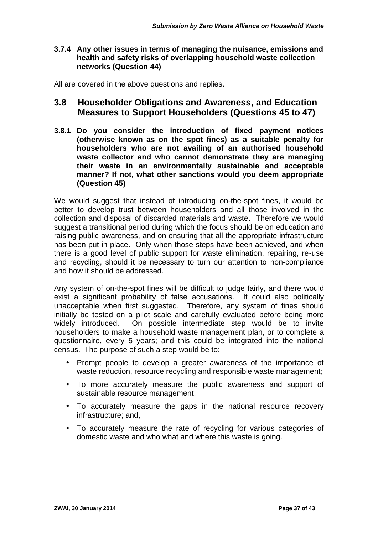#### **3.7.4 Any other issues in terms of managing the nuisance, emissions and health and safety risks of overlapping household waste collection networks (Question 44)**

All are covered in the above questions and replies.

### **3.8 Householder Obligations and Awareness, and Education Measures to Support Householders (Questions 45 to 47)**

**3.8.1 Do you consider the introduction of fixed payment notices (otherwise known as on the spot fines) as a suitable penalty for householders who are not availing of an authorised household waste collector and who cannot demonstrate they are managing their waste in an environmentally sustainable and acceptable manner? If not, what other sanctions would you deem appropriate (Question 45)**

We would suggest that instead of introducing on-the-spot fines, it would be better to develop trust between householders and all those involved in the collection and disposal of discarded materials and waste. Therefore we would suggest a transitional period during which the focus should be on education and raising public awareness, and on ensuring that all the appropriate infrastructure has been put in place. Only when those steps have been achieved, and when there is a good level of public support for waste elimination, repairing, re-use and recycling, should it be necessary to turn our attention to non-compliance and how it should be addressed.

Any system of on-the-spot fines will be difficult to judge fairly, and there would exist a significant probability of false accusations. It could also politically unacceptable when first suggested. Therefore, any system of fines should initially be tested on a pilot scale and carefully evaluated before being more On possible intermediate step would be to invite householders to make a household waste management plan, or to complete a questionnaire, every 5 years; and this could be integrated into the national census. The purpose of such a step would be to:

- Prompt people to develop a greater awareness of the importance of waste reduction, resource recycling and responsible waste management;
- To more accurately measure the public awareness and support of sustainable resource management:
- To accurately measure the gaps in the national resource recovery infrastructure; and,
- To accurately measure the rate of recycling for various categories of domestic waste and who what and where this waste is going.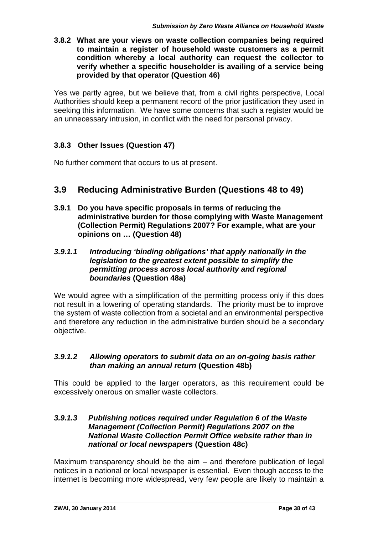#### **3.8.2 What are your views on waste collection companies being required to maintain a register of household waste customers as a permit condition whereby a local authority can request the collector to verify whether a specific householder is availing of a service being provided by that operator (Question 46)**

Yes we partly agree, but we believe that, from a civil rights perspective, Local Authorities should keep a permanent record of the prior justification they used in seeking this information. We have some concerns that such a register would be an unnecessary intrusion, in conflict with the need for personal privacy.

### **3.8.3 Other Issues (Question 47)**

No further comment that occurs to us at present.

## **3.9 Reducing Administrative Burden (Questions 48 to 49)**

**3.9.1 Do you have specific proposals in terms of reducing the administrative burden for those complying with Waste Management (Collection Permit) Regulations 2007? For example, what are your opinions on … (Question 48)**

#### *3.9.1.1 Introducing 'binding obligations' that apply nationally in the legislation to the greatest extent possible to simplify the permitting process across local authority and regional boundaries* **(Question 48a)**

We would agree with a simplification of the permitting process only if this does not result in a lowering of operating standards. The priority must be to improve the system of waste collection from a societal and an environmental perspective and therefore any reduction in the administrative burden should be a secondary objective.

#### *3.9.1.2 Allowing operators to submit data on an on-going basis rather than making an annual return* **(Question 48b)**

This could be applied to the larger operators, as this requirement could be excessively onerous on smaller waste collectors.

#### *3.9.1.3 Publishing notices required under Regulation 6 of the Waste Management (Collection Permit) Regulations 2007 on the National Waste Collection Permit Office website rather than in national or local newspapers* **(Question 48c)**

Maximum transparency should be the aim – and therefore publication of legal notices in a national or local newspaper is essential. Even though access to the internet is becoming more widespread, very few people are likely to maintain a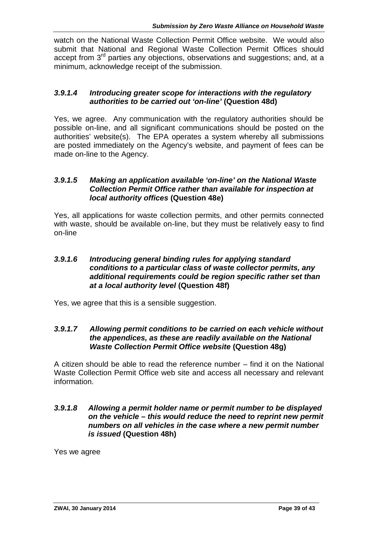watch on the National Waste Collection Permit Office website. We would also submit that National and Regional Waste Collection Permit Offices should accept from  $3<sup>rd</sup>$  parties any objections, observations and suggestions; and, at a minimum, acknowledge receipt of the submission.

#### *3.9.1.4 Introducing greater scope for interactions with the regulatory authorities to be carried out 'on-line'* **(Question 48d)**

Yes, we agree. Any communication with the regulatory authorities should be possible on-line, and all significant communications should be posted on the authorities' website(s). The EPA operates a system whereby all submissions are posted immediately on the Agency's website, and payment of fees can be made on-line to the Agency.

#### *3.9.1.5 Making an application available 'on-line' on the National Waste Collection Permit Office rather than available for inspection at local authority offices* **(Question 48e)**

Yes, all applications for waste collection permits, and other permits connected with waste, should be available on-line, but they must be relatively easy to find on-line

#### *3.9.1.6 Introducing general binding rules for applying standard conditions to a particular class of waste collector permits, any additional requirements could be region specific rather set than at a local authority level* **(Question 48f)**

Yes, we agree that this is a sensible suggestion.

#### *3.9.1.7 Allowing permit conditions to be carried on each vehicle without the appendices, as these are readily available on the National Waste Collection Permit Office website* **(Question 48g)**

A citizen should be able to read the reference number – find it on the National Waste Collection Permit Office web site and access all necessary and relevant information.

#### *3.9.1.8 Allowing a permit holder name or permit number to be displayed on the vehicle – this would reduce the need to reprint new permit numbers on all vehicles in the case where a new permit number is issued* **(Question 48h)**

Yes we agree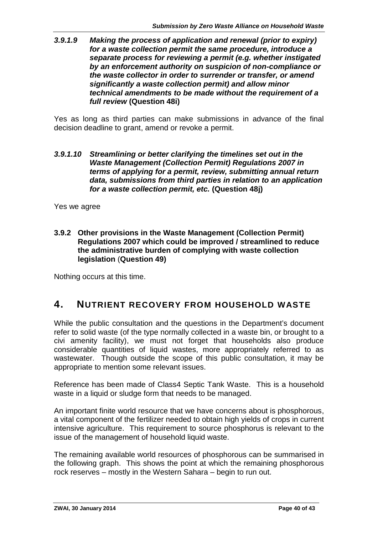#### *3.9.1.9 Making the process of application and renewal (prior to expiry) for a waste collection permit the same procedure, introduce a separate process for reviewing a permit (e.g. whether instigated by an enforcement authority on suspicion of non-compliance or the waste collector in order to surrender or transfer, or amend significantly a waste collection permit) and allow minor technical amendments to be made without the requirement of a full review* **(Question 48i)**

Yes as long as third parties can make submissions in advance of the final decision deadline to grant, amend or revoke a permit.

#### *3.9.1.10 Streamlining or better clarifying the timelines set out in the Waste Management (Collection Permit) Regulations 2007 in terms of applying for a permit, review, submitting annual return data, submissions from third parties in relation to an application for a waste collection permit, etc.* **(Question 48j)**

Yes we agree

**3.9.2 Other provisions in the Waste Management (Collection Permit) Regulations 2007 which could be improved / streamlined to reduce the administrative burden of complying with waste collection legislation** (**Question 49)**

Nothing occurs at this time.

# **4. NUTRIENT RECOVERY FROM HOUSEHOLD WASTE**

While the public consultation and the questions in the Department's document refer to solid waste (of the type normally collected in a waste bin, or brought to a civi amenity facility), we must not forget that households also produce considerable quantities of liquid wastes, more appropriately referred to as wastewater. Though outside the scope of this public consultation, it may be appropriate to mention some relevant issues.

Reference has been made of Class4 Septic Tank Waste. This is a household waste in a liquid or sludge form that needs to be managed.

An important finite world resource that we have concerns about is phosphorous, a vital component of the fertilizer needed to obtain high yields of crops in current intensive agriculture. This requirement to source phosphorus is relevant to the issue of the management of household liquid waste.

The remaining available world resources of phosphorous can be summarised in the following graph. This shows the point at which the remaining phosphorous rock reserves – mostly in the Western Sahara – begin to run out.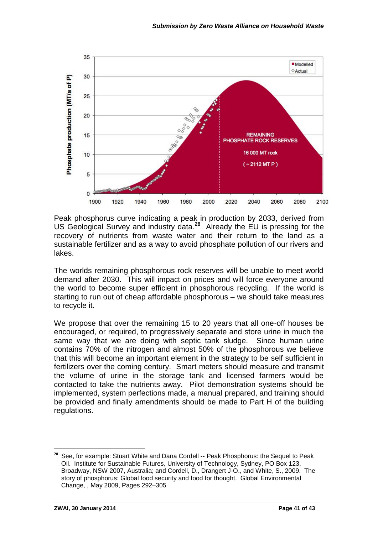

Peak phosphorus curve indicating a peak in production by 2033, derived from US Geological Survey and industry data.**<sup>28</sup>** Already the EU is pressing for the recovery of nutrients from waste water and their return to the land as a sustainable fertilizer and as a way to avoid phosphate pollution of our rivers and lakes.

The worlds remaining phosphorous rock reserves will be unable to meet world demand after 2030. This will impact on prices and will force everyone around the world to become super efficient in phosphorous recycling. If the world is starting to run out of cheap affordable phosphorous – we should take measures to recycle it.

We propose that over the remaining 15 to 20 years that all one-off houses be encouraged, or required, to progressively separate and store urine in much the same way that we are doing with septic tank sludge. Since human urine contains 70% of the nitrogen and almost 50% of the phosphorous we believe that this will become an important element in the strategy to be self sufficient in fertilizers over the coming century. Smart meters should measure and transmit the volume of urine in the storage tank and licensed farmers would be contacted to take the nutrients away. Pilot demonstration systems should be implemented, system perfections made, a manual prepared, and training should be provided and finally amendments should be made to Part H of the building regulations.

**<sup>28</sup>** See, for example: Stuart White and Dana Cordell -- Peak Phosphorus: the Sequel to Peak Oil. Institute for Sustainable Futures, University of Technology, Sydney, PO Box 123, Broadway, NSW 2007, Australia; and Cordell, D., Drangert J-O., and White, S., 2009. The story of phosphorus: Global food security and food for thought. Global Environmental Change, , May 2009, Pages 292–305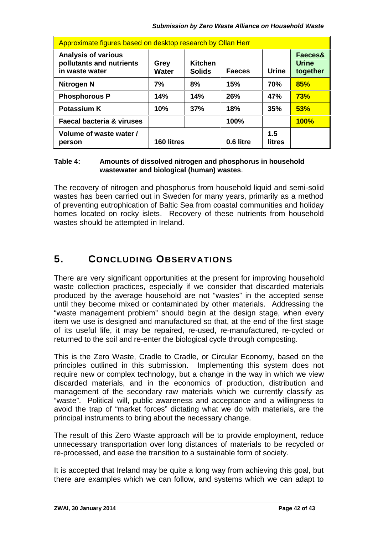| Approximate figures based on desktop research by Ollan Herr              |               |                                 |               |               |                                     |  |  |
|--------------------------------------------------------------------------|---------------|---------------------------------|---------------|---------------|-------------------------------------|--|--|
| <b>Analysis of various</b><br>pollutants and nutrients<br>in waste water | Grey<br>Water | <b>Kitchen</b><br><b>Solids</b> | <b>Faeces</b> | <b>Urine</b>  | Faeces&<br><b>Urine</b><br>together |  |  |
| Nitrogen N                                                               | 7%            | 8%                              | 15%           | 70%           | 85%                                 |  |  |
| <b>Phosphorous P</b>                                                     | 14%           | 14%                             | 26%           | 47%           | <b>73%</b>                          |  |  |
| <b>Potassium K</b>                                                       | 10%           | 37%                             | 18%           | 35%           | 53%                                 |  |  |
| <b>Faecal bacteria &amp; viruses</b>                                     |               |                                 | 100%          |               | <b>100%</b>                         |  |  |
| Volume of waste water /<br>person                                        | 160 litres    |                                 | 0.6 litre     | 1.5<br>litres |                                     |  |  |

#### **Table 4: Amounts of dissolved nitrogen and phosphorus in household wastewater and biological (human) wastes**.

The recovery of nitrogen and phosphorus from household liquid and semi-solid wastes has been carried out in Sweden for many years, primarily as a method of preventing eutrophication of Baltic Sea from coastal communities and holiday homes located on rocky islets. Recovery of these nutrients from household wastes should be attempted in Ireland.

# **5. CONCLUDING OBSERVATIONS**

There are very significant opportunities at the present for improving household waste collection practices, especially if we consider that discarded materials produced by the average household are not "wastes" in the accepted sense until they become mixed or contaminated by other materials. Addressing the "waste management problem" should begin at the design stage, when every item we use is designed and manufactured so that, at the end of the first stage of its useful life, it may be repaired, re-used, re-manufactured, re-cycled or returned to the soil and re-enter the biological cycle through composting.

This is the Zero Waste, Cradle to Cradle, or Circular Economy, based on the principles outlined in this submission. Implementing this system does not require new or complex technology, but a change in the way in which we view discarded materials, and in the economics of production, distribution and management of the secondary raw materials which we currently classify as "waste". Political will, public awareness and acceptance and a willingness to avoid the trap of "market forces" dictating what we do with materials, are the principal instruments to bring about the necessary change.

The result of this Zero Waste approach will be to provide employment, reduce unnecessary transportation over long distances of materials to be recycled or re-processed, and ease the transition to a sustainable form of society.

It is accepted that Ireland may be quite a long way from achieving this goal, but there are examples which we can follow, and systems which we can adapt to